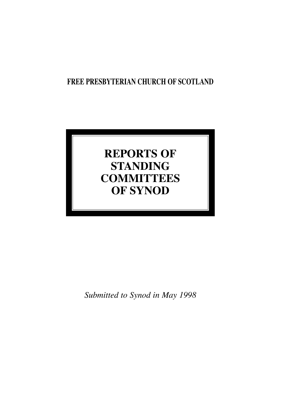## **FREE PRESBYTERIAN CHURCH OF SCOTLAND**

# **REPORTS OF STANDING COMMITTEES OF SYNOD**

*Submitted to Synod in May 1998*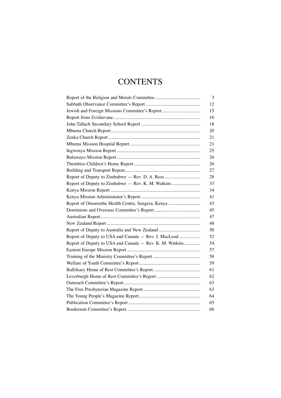# **CONTENTS**

|                                                         | 3  |
|---------------------------------------------------------|----|
|                                                         | 12 |
| Jewish and Foreign Missions Committee's Report          | 15 |
|                                                         | 16 |
|                                                         | 18 |
|                                                         | 20 |
|                                                         | 21 |
|                                                         | 21 |
|                                                         | 25 |
|                                                         | 26 |
|                                                         | 26 |
|                                                         | 27 |
|                                                         | 28 |
| Report of Deputy to Zimbabwe — Rev. K. M. Watkins       | 33 |
|                                                         | 34 |
|                                                         | 41 |
| Report of Omorembe Health Centre, Sengera, Kenya        | 43 |
|                                                         | 45 |
|                                                         | 47 |
|                                                         | 48 |
|                                                         | 50 |
| Report of Deputy to USA and Canada - Rev. J. MacLeod    | 52 |
| Report of Deputy to USA and Canada - Rev. K. M. Watkins | 54 |
|                                                         | 57 |
|                                                         | 58 |
|                                                         | 59 |
|                                                         | 61 |
|                                                         | 62 |
|                                                         | 63 |
|                                                         | 63 |
|                                                         | 64 |
|                                                         | 65 |
|                                                         | 66 |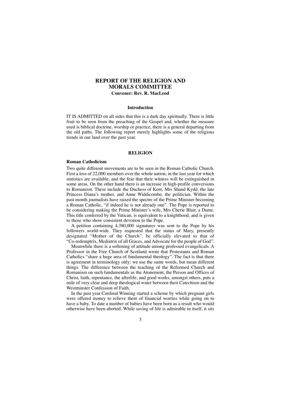### **REPORT OF THE RELIGION AND MORALS COMMITTEE Convener: Rev. R. MacLeod**

#### **Introduction**

IT IS ADMITTED on all sides that this is a dark day spiritually. There is little fruit to be seen from the preaching of the Gospel and, whether the measure used is biblical doctrine, worship or practice, there is a general departing from the old paths. The following report merely highlights some of the religious trends in our land over the past year.

#### **RELIGION**

#### **Roman Catholicism**

Two quite different movements are to be seen in the Roman Catholic Church. First a loss of 22,000 members over the whole nation, in the last year for which statistics are available, and the fear that their witness will be extinguished in some areas. On the other hand there is an increase in high-profile conversions to Romanism. These include the Duchess of Kent, Mrs Shand Kydd, the late Princess Diana's mother, and Anne Widdicombe, the politician. Within the past month journalists have raised the spectre of the Prime Minister becoming a Roman Catholic, "if indeed he is not already one". The Pope is reported to be considering making the Prime Minister's wife, Mrs Cherie Blair, a Dame. This title conferred by the Vatican, is equivalent to a knighthood, and is given to those who show consistent devotion to the Pope.

A petition containing 4,380,000 signatures was sent to the Pope by his followers world-wide. They requested that the status of Mary, presently designated "Mother of the Church", be officially elevated to that of "Co-redemptrix, Mediatrix of all Graces, and Advocate for the people of God".

Meanwhile there is a softening of attitude among professed evangelicals. A Professor in the Free Church of Scotland wrote that Protestants and Roman Catholics "share a huge area of fundamental theology". The fact is that there is agreement in terminology only: we use the same words, but mean different things. The difference between the teaching of the Reformed Church and Romanism on such fundamentals as the Atonement, the Person and Offices of Christ, faith, repentance, the afterlife, and good works, amongst others, puts a mile of very clear and deep theological water between their Catechism and the Westminster Confession of Faith.

In the past year Cardinal Winning started a scheme by which pregnant girls were offered money to relieve them of financial worries while going on to have a baby. To date a number of babies have been born as a result who would otherwise have been aborted. While saving of life is admirable in itself, it sits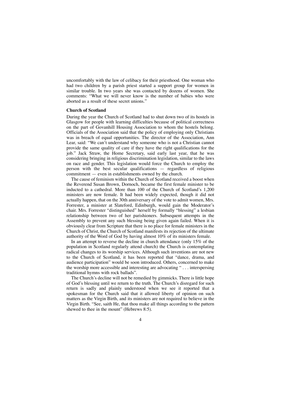uncomfortably with the law of celibacy for their priesthood. One woman who had two children by a parish priest started a support group for women in similar trouble. In two years she was contacted by dozens of women. She comments: "What we will never know is the number of babies who were aborted as a result of these secret unions."

#### **Church of Scotland**

During the year the Church of Scotland had to shut down two of its hostels in Glasgow for people with learning difficulties because of political correctness on the part of Govanhill Housing Association to whom the hostels belong. Officials of the Association said that the policy of employing only Christians was in breach of equal opportunities. The director of the Association, Ann Lear, said: "We can't understand why someone who is not a Christian cannot provide the same quality of care if they have the right qualifications for the job." Jack Straw, the Home Secretary, said early last year, that he was considering bringing in religious discrimination legislation, similar to the laws on race and gender. This legislation would force the Church to employ the person with the best secular qualifications — regardless of religious commitment — even in establishments owned by the church.

The cause of feminism within the Church of Scotland received a boost when the Reverend Susan Brown, Dornoch, became the first female minister to be inducted to a cathedral. More than 100 of the Church of Scotland's 1,200 ministers are now female. It had been widely expected, though it did not actually happen, that on the 30th anniversary of the vote to admit women, Mrs. Forrester, a minister at Slateford, Edinburgh, would gain the Moderator's chair. Mrs. Forrester "distinguished" herself by formally "blessing" a lesbian relationship between two of her parishioners. Subsequent attempts in the Assembly to prevent any such blessing being given again failed. When it is obviously clear from Scripture that there is no place for female ministers in the Church of Christ, the Church of Scotland manifests its rejection of the ultimate authority of the Word of God by having almost 10% of its ministers female.

In an attempt to reverse the decline in church attendance (only 15% of the population in Scotland regularly attend church) the Church is contemplating radical changes to its worship services. Although such inventions are not new to the Church of Scotland, it has been reported that "dance, drama, and audience participation" would be soon introduced. Others, concerned to make the worship more accessible and interesting are advocating " . . . interspersing traditional hymns with rock ballads".

The Church's decline will not be remedied by gimmicks. There is little hope of God's blessing until we return to the truth. The Church's disregard for such return is sadly and plainly understood when we see it reported that a spokesman for the Church said that it allowed liberty of opinion on such matters as the Virgin Birth, and its ministers are not required to believe in the Virgin Birth. "See, saith He, that thou make all things according to the pattern shewed to thee in the mount" (Hebrews 8:5).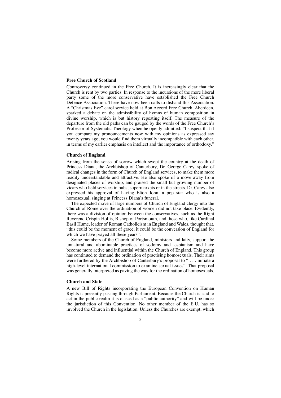#### **Free Church of Scotland**

Controversy continued in the Free Church. It is increasingly clear that the Church is rent by two parties. In response to the incursions of the more liberal party some of the more conservative have established the Free Church Defence Association. There have now been calls to disband this Association. A "Christmas Eve" carol service held at Bon Accord Free Church, Aberdeen, sparked a debate on the admissibility of hymns of human composition in divine worship, which is but history repeating itself. The measure of the departure from the old paths can be gauged by the words of the Free Church's Professor of Systematic Theology when he openly admitted: "I suspect that if you compare my pronouncements now with my opinions as expressed say twenty years ago, you would find them virtually incompatible with each other, in terms of my earlier emphasis on intellect and the importance of orthodoxy."

#### **Church of England**

Arising from the sense of sorrow which swept the country at the death of Princess Diana, the Archbishop of Canterbury, Dr. George Carey, spoke of radical changes in the form of Church of England services, to make them more readily understandable and attractive. He also spoke of a move away from designated places of worship, and praised the small but growing number of vicars who held services in pubs, supermarkets or in the streets. Dr. Carey also expressed his approval of having Elton John, a pop star who is also a homosexual, singing at Princess Diana's funeral.

The expected move of large numbers of Church of England clergy into the Church of Rome over the ordination of women did not take place. Evidently, there was a division of opinion between the conservatives, such as the Right Reverend Crispin Hollis, Bishop of Portsmouth, and those who, like Cardinal Basil Hume, leader of Roman Catholicism in England and Wales, thought that, "this could be the moment of grace, it could be the conversion of England for which we have prayed all these years".

Some members of the Church of England, ministers and laity, support the unnatural and abominable practices of sodomy and lesbianism and have become more active and influential within the Church of England. This group has continued to demand the ordination of practising homosexuals. Their aims were furthered by the Archbishop of Canterbury's proposal to " . . . initiate a high-level international commission to examine sexual issues". That proposal was generally interpreted as paving the way for the ordination of homosexuals.

#### **Church and State**

A new Bill of Rights incorporating the European Convention on Human Rights is presently passing through Parliament. Because the Church is said to act in the public realm it is classed as a "public authority" and will be under the jurisdiction of this Convention. No other member of the E.U. has so involved the Church in the legislation. Unless the Churches are exempt, which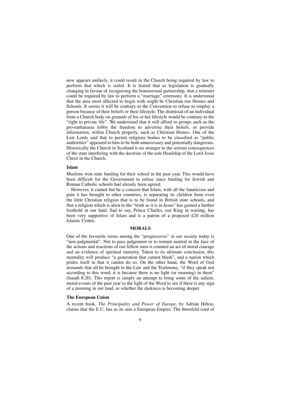now appears unlikely, it could result in the Church being required by law to perform that which is sinful. It is feared that as legislation is gradually changing in favour of recognising the homosexual partnership, that a minister could be required by law to perform a "marriage" ceremony. It is understood that the area most affected to begin with might be Christian run Homes and Schools. It seems it will be contrary to the Convention to refuse to employ a person because of their beliefs or their lifestyle. The dismissal of an individual from a Church body on grounds of his or her lifestyle would be contrary to the "right to private life". We understand that it will afford to groups such as the pro-euthanasia lobby the freedom to advertise their beliefs, or provide information, within Church property, such as Christian Homes. One of the Law Lords said that to permit religious bodies to be classified as "public authorities" appeared to him to be both unnecessary and potentially dangerous. Historically the Church in Scotland is no stranger to the serious consequences of the state interfering with the doctrine of the sole Headship of the Lord Jesus Christ in the Church.

#### **Islam**

Muslims won state funding for their school in the past year. This would have been difficult for the Government to refuse since funding for Jewish and Roman Catholic schools had already been agreed.

However, it cannot but be a concern that Islam, with all the fanaticism and pain it has brought to other countries, is separating its children from even the little Christian religion that is to be found in British state schools, and that a religion which is alien to the "truth as it is in Jesus" has gained a further foothold in our land. Sad to say, Prince Charles, our King in waiting, has been very supportive of Islam and is a patron of a proposed £20 million Islamic Centre.

### **MORALS**

One of the favourite terms among the "progressives" in our society today is "non-judgmental". Not to pass judgement or to remain neutral in the face of the actions and reactions of our fellow men is counted an act of moral courage and an evidence of spiritual maturity. Taken to its ultimate conclusion, this mentality will produce "a generation that cannot blush", and a nation which prides itself in that it cannot do so. On the other hand, the Word of God demands that all be brought to the Law and the Testimony, "if they speak not according to this word, it is because there is no light (or morning) in them" (Isaiah 8:20). This report is simply an attempt to bring some of the salient, moral events of the past year to the light of the Word to see if there is any sign of a morning in our land, or whether the darkness is becoming deeper.

#### **The European Union**

A recent book, *The Principality and Power of Europe,* by Adrian Hilton, claims that the E.U. has as its aim a European Empire. The threefold cord of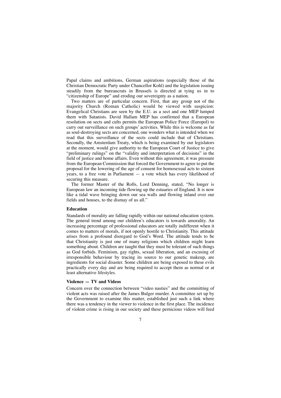Papal claims and ambitions, German aspirations (especially those of the Christian Democratic Party under Chancellor Kohl) and the legislation issuing steadily from the bureaucrats in Brussels is directed at tying us in to "citizenship of Europe" and eroding our sovereignty as a nation.

Two matters are of particular concern. First, that any group not of the majority Church (Roman Catholic) would be viewed with suspicion: Evangelical Christians are seen by the E.U. as a sect and one MEP lumped them with Satanists. David Hallam MEP has confirmed that a European resolution on sects and cults permits the European Police Force (Europol) to carry out surveillance on such groups' activities. While this is welcome as far as soul-destroying sects are concerned, one wonders what is intended when we read that this surveillance of the sects could include that of Christians. Secondly, the Amsterdam Treaty, which is being examined by our legislators at the moment, would give authority to the European Court of Justice to give "preliminary rulings" on the "validity and interpretation of decisions" in the field of justice and home affairs. Even without this agreement, it was pressure from the European Commission that forced the Government to agree to put the proposal for the lowering of the age of consent for homosexual acts to sixteen years, to a free vote in Parliament  $-$  a vote which has every likelihood of securing this measure.

The former Master of the Rolls, Lord Denning, stated, "No longer is European law an incoming tide flowing up the estuaries of England. It is now like a tidal wave bringing down our sea walls and flowing inland over our fields and houses, to the dismay of us all."

#### **Education**

Standards of morality are falling rapidly within our national education system. The general trend among our children's educators is towards amorality. An increasing percentage of professional educators are totally indifferent when it comes to matters of morals, if not openly hostile to Christianity. This attitude arises from a profound disregard to God's Word. The attitude tends to be that Christianity is just one of many religions which children might learn something about. Children are taught that they must be tolerant of such things as God forbids. Feminism, gay rights, sexual liberation, and an excusing of irresponsible behaviour by tracing its source to our genetic makeup, are ingredients for social disaster. Some children are being exposed to these evils practically every day and are being required to accept them as normal or at least alternative lifestyles.

### **Violence — TV and Videos**

Concern over the connection between "video nasties" and the committing of violent acts was raised after the James Bulger murder. A committee set up by the Government to examine this matter, established just such a link where there was a tendency in the viewer to violence in the first place. The incidence of violent crime is rising in our society and these pernicious videos will feed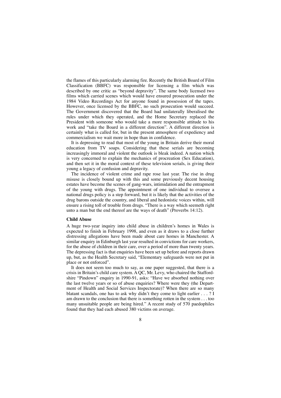the flames of this particularly alarming fire. Recently the British Board of Film Classification (BBFC) was responsible for licensing a film which was described by one critic as "beyond depravity". The same body licensed two films which carried scenes which would have ensured prosecution under the 1984 Video Recordings Act for anyone found in possession of the tapes. However, once licensed by the BBFC, no such prosecution would succeed. The Government discovered that the Board had unilaterally liberalised the rules under which they operated, and the Home Secretary replaced the President with someone who would take a more responsible attitude to his work and "take the Board in a different direction". A different direction is certainly what is called for, but in the present atmosphere of expediency and commercialism we wait more in hope than in confidence.

It is depressing to read that most of the young in Britain derive their moral education from TV soaps. Considering that these serials are becoming increasingly immoral and violent the outlook is bleak indeed. A nation which is very concerned to explain the mechanics of procreation (Sex Education), and then set it in the moral context of these television serials, is giving their young a legacy of confusion and depravity.

The incidence of violent crime and rape rose last year. The rise in drug misuse is closely bound up with this and some previously decent housing estates have become the scenes of gang-wars, intimidation and the entrapment of the young with drugs. The appointment of one individual to oversee a national drugs policy is a step forward, but it is likely that the activities of the drug barons outside the country, and liberal and hedonistic voices within, will ensure a rising toll of trouble from drugs. "There is a way which seemeth right unto a man but the end thereof are the ways of death" (Proverbs 14:12).

#### **Child Abuse**

A huge two-year inquiry into child abuse in children's homes in Wales is expected to finish in February 1998, and even as it draws to a close further distressing allegations have been made about care homes in Manchester. A similar enquiry in Edinburgh last year resulted in convictions for care workers, for the abuse of children in their care, over a period of more than twenty years. The depressing fact is that enquiries have been set up before and reports drawn up, but, as the Health Secretary said, "Elementary safeguards were not put in place or not enforced".

It does not seem too much to say, as one paper suggested, that there is a crisis in Britain's child care system. A QC, Mr. Levy, who chaired the Staffordshire "Pindown" enquiry in 1990-91, asks: "Have we absorbed nothing over the last twelve years or so of abuse enquiries? Where were they (the Department of Health and Social Services Inspectorate)? When there are so many blatant scandals, one has to ask why didn't they come to light earlier  $\dots$  ? I am drawn to the conclusion that there is something rotten in the system . . . too many unsuitable people are being hired." A recent study of 570 paedophiles found that they had each abused 380 victims on average.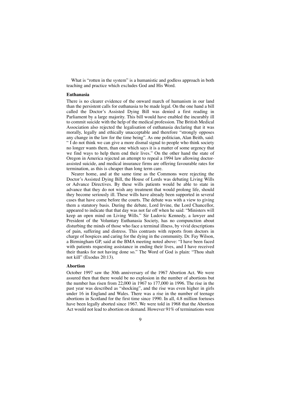What is "rotten in the system" is a humanistic and godless approach in both teaching and practice which excludes God and His Word.

### **Euthanasia**

There is no clearer evidence of the onward march of humanism in our land than the persistent calls for euthanasia to be made legal. On the one hand a bill called the Doctor's Assisted Dying Bill was denied a first reading in Parliament by a large majority. This bill would have enabled the incurably ill to commit suicide with the help of the medical profession. The British Medical Association also rejected the legalisation of euthanasia declaring that it was morally, legally and ethically unacceptable and therefore "strongly opposes any change in the law for the time being". As one politician, Alan Beith, said: " I do not think we can give a more dismal signal to people who think society no longer wants them, than one which says it is a matter of some urgency that we find ways to help them end their lives." On the other hand the state of Oregon in America rejected an attempt to repeal a 1994 law allowing doctorassisted suicide, and medical insurance firms are offering favourable rates for termination, as this is cheaper than long term care.

Nearer home, and at the same time as the Commons were rejecting the Doctor's Assisted Dying Bill, the House of Lords was debating Living Wills or Advance Directives. By these wills patients would be able to state in advance that they do not wish any treatment that would prolong life, should they become seriously ill. These wills have already been supported in several cases that have come before the courts. The debate was with a view to giving them a statutory basis. During the debate, Lord Irvine, the Lord Chancellor, appeared to indicate that that day was not far off when he said: "Ministers will keep an open mind on Living Wills." Sir Ludovic Kennedy, a lawyer and President of the Voluntary Euthanasia Society, has no compunction about disturbing the minds of those who face a terminal illness, by vivid descriptions of pain, suffering and distress. This contrasts with reports from doctors in charge of hospices and caring for the dying in the community. Dr. Fay Wilson, a Birmingham GP, said at the BMA meeting noted above: "I have been faced with patients requesting assistance in ending their lives, and I have received their thanks for not having done so." The Word of God is plain: "Thou shalt not kill" (Exodus 20:13).

#### **Abortion**

October 1997 saw the 30th anniversary of the 1967 Abortion Act. We were assured then that there would be no explosion in the number of abortions but the number has risen from 22,000 in 1967 to 177,000 in 1996. The rise in the past year was described as "shocking", and the rise was even higher in girls under 16 in England and Wales. There was a rise in the number of teenage abortions in Scotland for the first time since 1990. In all, 4.8 million foetuses have been legally aborted since 1967. We were told in 1968 that the Abortion Act would not lead to abortion on demand. However 91% of terminations were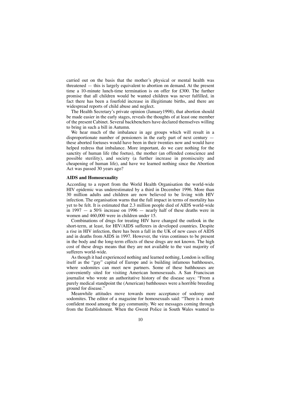carried out on the basis that the mother's physical or mental health was threatened — this is largely equivalent to abortion on demand. At the present time a 10-minute lunch-time termination is on offer for £300. The further promise that all children would be wanted children was never fulfilled, in fact there has been a fourfold increase in illegitimate births, and there are widespread reports of child abuse and neglect.

The Health Secretary's private opinion (January1998), that abortion should be made easier in the early stages, reveals the thoughts of at least one member of the present Cabinet. Several backbenchers have declared themselves willing to bring in such a bill in Autumn.

We hear much of the imbalance in age groups which will result in a disproportionate number of pensioners in the early part of next century these aborted foetuses would have been in their twenties now and would have helped redress that imbalance. More important, do we care nothing for the sanctity of human life (the foetus), the mother (an offended conscience and possible sterility), and society (a further increase in promiscuity and cheapening of human life), and have we learned nothing since the Abortion Act was passed 30 years ago?

### **AIDS and Homosexuality**

According to a report from the World Health Organisation the world-wide HIV epidemic was underestimated by a third in December 1996. More than 30 million adults and children are now believed to be living with HIV infection. The organisation warns that the full impact in terms of mortality has yet to be felt. It is estimated that 2.3 million people died of AIDS world-wide in 1997  $-$  a 50% increase on 1996  $-$  nearly half of these deaths were in women and 460,000 were in children under 15.

Combinations of drugs for treating HIV have changed the outlook in the short-term, at least, for HIV/AIDS sufferers in developed countries. Despite a rise in HIV infection, there has been a fall in the UK of new cases of AIDS and in deaths from AIDS in 1997. However, the virus continues to be present in the body and the long-term effects of these drugs are not known. The high cost of these drugs means that they are not available to the vast majority of sufferers world-wide.

As though it had experienced nothing and learned nothing, London is selling itself as the "gay" capital of Europe and is building infamous bathhouses, where sodomites can meet new partners. Some of these bathhouses are conveniently sited for visiting American homosexuals. A San Franciscan journalist who wrote an authoritative history of the disease says: "From a purely medical standpoint the (American) bathhouses were a horrible breeding ground for disease."

Meanwhile attitudes move towards more acceptance of sodomy and sodomites. The editor of a magazine for homosexuals said: "There is a more confident mood among the gay community. We see messages coming through from the Establishment. When the Gwent Police in South Wales wanted to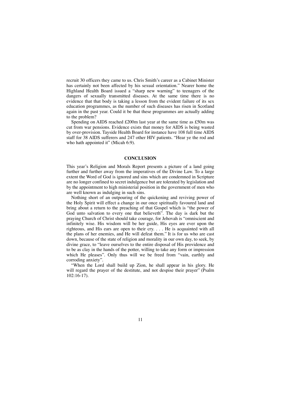recruit 30 officers they came to us. Chris Smith's career as a Cabinet Minister has certainly not been affected by his sexual orientation." Nearer home the Highland Health Board issued a "sharp new warning" to teenagers of the dangers of sexually transmitted diseases. At the same time there is no evidence that that body is taking a lesson from the evident failure of its sex education programmes, as the number of such diseases has risen in Scotland again in the past year. Could it be that these programmes are actually adding to the problem?

Spending on AIDS reached £200m last year at the same time as £50m was cut from war pensions. Evidence exists that money for AIDS is being wasted by over-provision. Tayside Health Board for instance have 108 full time AIDS staff for 38 AIDS sufferers and 247 other HIV patients. "Hear ye the rod and who hath appointed it" (Micah 6:9).

### **CONCLUSION**

This year's Religion and Morals Report presents a picture of a land going further and further away from the imperatives of the Divine Law. To a large extent the Word of God is ignored and sins which are condemned in Scripture are no longer confined to secret indulgence but are tolerated by legislation and by the appointment to high ministerial position in the government of men who are well known as indulging in such sins.

Nothing short of an outpouring of the quickening and reviving power of the Holy Spirit will effect a change in our once spiritually favoured land and bring about a return to the preaching of that Gospel which is "the power of God unto salvation to every one that believeth". The day is dark but the praying Church of Christ should take courage, for Jehovah is "omniscient and infinitely wise. His wisdom will be her guide, His eyes are ever upon the righteous, and His ears are open to their cry. . . . He is acquainted with all the plans of her enemies, and He will defeat them." It is for us who are cast down, because of the state of religion and morality in our own day, to seek, by divine grace, to "leave ourselves to the entire disposal of His providence and to be as clay in the hands of the potter, willing to take any form or impression which He pleases". Only thus will we be freed from "vain, earthly and corroding anxiety".

"When the Lord shall build up Zion, he shall appear in his glory. He will regard the prayer of the destitute, and not despise their prayer" (Psalm 102:16-17).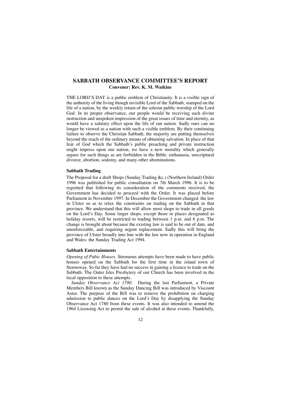### **SABBATH OBSERVANCE COMMITTEE'S REPORT Convener: Rev. K. M. Watkins**

THE LORD'S DAY is a public emblem of Christianity. It is a visible sign of the authority of the living though invisible Lord of the Sabbath, stamped on the life of a nation, by the weekly return of the solemn public worship of the Lord God. In its proper observance, our people would be receiving such divine instruction and unspoken impression of the great issues of time and eternity, as would have a salutary effect upon the life of our nation. Sadly ours can no longer be viewed as a nation with such a visible emblem. By their continuing failure to observe the Christian Sabbath, the majority are putting themselves beyond the reach of the ordinary means of obtaining salvation. In place of that fear of God which the Sabbath's public preaching and private instruction might impress upon our nation, we have a new morality which generally argues for such things as are forbidden in the Bible: euthanasia, unscriptural divorce, abortion, sodomy, and many other abominations.

#### **Sabbath Trading**

The Proposal for a draft Shops (Sunday Trading &c.) (Northern Ireland) Order 1996 was published for public consultation on 7th March 1996. It is to be regretted that following its consideration of the comments received, the Government has decided to proceed with the Order. It was placed before Parliament in November 1997. In December the Government changed the law in Ulster so as to relax the constraints on trading on the Sabbath in that province. We understand that this will allow most shops to trade in all goods on the Lord's Day. Some larger shops, except those in places designated as holiday resorts, will be restricted to trading between 1 p.m. and 6 p.m. The change is brought about because the existing law is said to be out of date, and unenforceable, and requiring urgent replacement. Sadly this will bring the province of Ulster broadly into line with the law now in operation in England and Wales: the Sunday Trading Act 1994.

#### **Sabbath Entertainments**

*Opening of Pubic Houses.* Strenuous attempts have been made to have public houses opened on the Sabbath for the first time in the island town of Stornoway. So far they have had no success in gaining a licence to trade on the Sabbath. The Outer Isles Presbytery of our Church has been involved in the local opposition to these attempts.

*Sunday Observance Act 1780.* During the last Parliament, a Private Members Bill known as the Sunday Dancing Bill was introduced by Viscount Astor. The purpose of the Bill was to remove the prohibition on charging admission to public dances on the Lord's Day by disapplying the Sunday Observance Act 1780 from these events. It was also intended to amend the 1964 Licensing Act to permit the sale of alcohol at these events. Thankfully,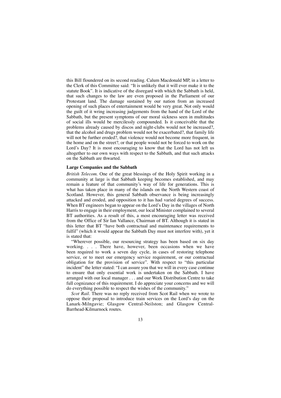this Bill floundered on its second reading. Calum Macdonald MP, in a letter to the Clerk of this Committee said: "It is unlikely that it will ever make it to the statute Book". It is indicative of the disregard with which the Sabbath is held, that such changes to the law are even proposed in the Parliament of our Protestant land. The damage sustained by our nation from an increased opening of such places of entertainment would be very great. Not only would the guilt of it wring increasing judgements from the hand of the Lord of the Sabbath, but the present symptoms of our moral sickness seen in multitudes of social ills would be mercilessly compounded. Is it conceivable that the problems already caused by discos and night-clubs would not be increased?, that the alcohol and drugs problem would not be exacerbated?, that family life will not be further eroded?, that violence would not become more frequent, in the home and on the street?, or that people would not be forced to work on the Lord's Day? It is most encouraging to know that the Lord has not left us altogether to our own ways with respect to the Sabbath, and that such attacks on the Sabbath are thwarted.

#### **Large Companies and the Sabbath**

*British Telecom.* One of the great blessings of the Holy Spirit working in a community at large is that Sabbath keeping becomes established, and may remain a feature of that community's way of life for generations. This is what has taken place in many of the islands on the North Western coast of Scotland. However, this general Sabbath observance is being increasingly attacked and eroded, and opposition to it has had varied degrees of success. When BT engineers began to appear on the Lord's Day in the villages of North Harris to engage in their employment, our local Minister complained to several BT authorities. As a result of this, a most encouraging letter was received from the Office of Sir Ian Vallance, Chairman of BT. Although it is stated in this letter that BT "have both contractual and maintenance requirements to fulfil" (which it would appear the Sabbath Day must not interfere with), yet it is stated that:

"Wherever possible, our resourcing strategy has been based on six day working. . . . There have, however, been occasions when we have been required to work a seven day cycle, in cases of restoring telephone service, or to meet our emergency service requirement, or our contractual obligation for the provision of service". With respect to "this particular incident" the letter stated: "I can assure you that we will in every case continue to ensure that only essential work is undertaken on the Sabbath. I have arranged with our local manager . . . and our Work Distribution Centre to take full cognizance of this requirement. I do appreciate your concerns and we will do everything possible to respect the wishes of the community."

*Scot Rail.* There was no reply received from Scot Rail when we wrote to oppose their proposal to introduce train services on the Lord's day on the Lanark-Milngavie; Glasgow Central-Neilston; and Glasgow Central-Barrhead-Kilmarnock routes.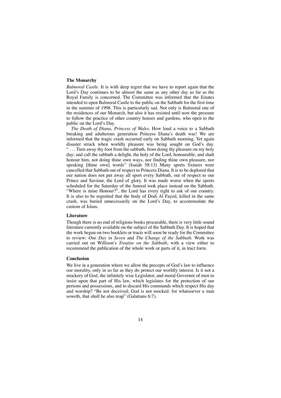### **The Monarchy**

*Balmoral Castle.* It is with deep regret that we have to report again that the Lord's Day continues to be almost the same as any other day as far as the Royal Family is concerned. The Committee was informed that the Estates intended to open Balmoral Castle to the public on the Sabbath for the first time in the summer of 1998. This is particularly sad. Not only is Balmoral one of the residences of our Monarch, but also it has resisted until now the pressure to follow the practice of other country houses and gardens, who open to the public on the Lord's Day.

*The Death of Diana, Princess of Wales.* How loud a voice to a Sabbath breaking and adulterous generation Princess Diana's death was! We are informed that the tragic crash occurred early on Sabbath morning. Yet again disaster struck when worldly pleasure was being sought on God's day. " . . . Turn away thy foot from the sabbath, from doing thy pleasure on my holy day; and call the sabbath a delight, the holy of the Lord, honourable; and shalt honour him, not doing thine own ways, nor finding thine own pleasure, nor speaking [thine own] words" (Isaiah 58:13) Many sports fixtures were cancelled that Sabbath out of respect to Princess Diana. It is to be deplored that our nation does not put away all sport every Sabbath, out of respect to our Prince and Saviour, the Lord of glory. It was made worse when the sports scheduled for the Saturday of the funeral took place instead on the Sabbath. "Where is mine Honour?", the Lord has every right to ask of our country. It is also to be regretted that the body of Dodi Al Fayed, killed in the same crash, was buried unnecessarily on the Lord's Day, to accommodate the custom of Islam.

#### **Literature**

Though there is no end of religious books procurable, there is very little sound literature currently available on the subject of the Sabbath Day. It is hoped that the work begun on two booklets or tracts will soon be ready for the Committee to review: *One Day in Seven* and *The Change of the Sabbath.* Work was carried out on Willison's *Treatise on the Sabbath*, with a view either to recommend the publication of the whole work or parts of it, in tract form.

### **Conclusion**

We live in a generation where we allow the precepts of God's law to influence our morality, only in so far as they do protect our worldly interest. Is it not a mockery of God, the infinitely wise Legislator, and moral Governor of men to insist upon that part of His law, which legislates for the protection of our persons and possessions, and to discard His commands which respect His day and worship? "Be not deceived; God is not mocked: for whatsoever a man soweth, that shall he also reap" (Galatians 6:7).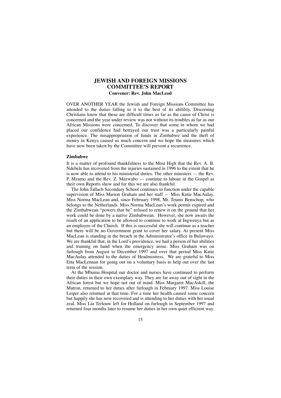### **JEWISH AND FOREIGN MISSIONS COMMITTEE'S REPORT Convener: Rev. John MacLeod**

OVER ANOTHER YEAR the Jewish and Foreign Missions Committee has attended to the duties falling to it to the best of its abilility. Discerning Christians know that these are difficult times as far as the cause of Christ is concerned and the year under review was not without its troubles as far as our African Missions were concerned. To discover that some in whom we had placed our confidence had betrayed our trust was a particularly painful experience. The misappropriation of funds in Zimbabwe and the theft of money in Kenya caused us much concern and we hope the measures which have now been taken by the Committee will prevent a recurrence.

#### **Zimbabwe**

It is a matter of profound thankfulness to the Most High that the Rev. A. B. Ndebele has recovered from the injuries sustained in 1996 to the extent that he is now able to attend to his ministerial duties. The other ministers — the Rev. P. Mzamo and the Rev. Z. Mazwabo — continue to labour in the Gospel as their own Reports show and for this we are also thankful.

The John Tallach Secondary School continues to function under the capable supervision of Miss Marion Graham and her staff — Miss Katie MacAulay, Miss Norma MacLean and, since February 1998, Mr. Teunis Benschop, who belongs to the Netherlands. Miss Norma MacLean's work permit expired and the Zimbabwean "powers that be" refused to renew it on the ground that her work could be done by a native Zimbabwean. However, she now awaits the result of an application to be allowed to continue to work at Ingwenya but as an employee of the Church. If this is successful she will continue as a teacher but there will be no Government grant to cover her salary. At present Miss MacLean is standing in the breach in the Administrator's office in Bulawayo. We are thankful that, in the Lord's providence, we had a person of her abilities and training on hand when the emergency arose. Miss Graham was on furlough from August to December 1997 and over that period Miss Katie MacAulay attended to the duties of Headmistress. We are grateful to Miss Etta MacLennan for going out on a voluntary basis to help out over the last term of the session.

At the Mbuma Hospital our doctor and nurses have continued to perform their duties in their own exemplary way. They are far away out of sight in the African forest but we hope not out of mind. Miss Margaret MacAskill, the Matron, returned to her duties after furlough in February 1997. Miss Louise Leiper also returned at that time. For a time her health caused some concern but happily she has now recovered and is attending to her duties with her usual zeal. Miss Lia Terlouw left for Holland on furlough in September 1997 and returned four months later to resume her duties in her own quiet efficient way.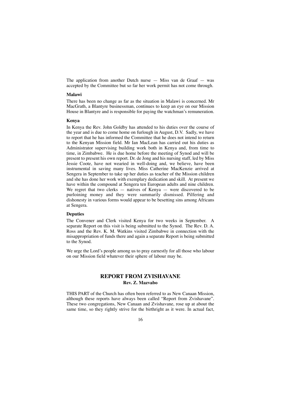The application from another Dutch nurse — Miss van de Graaf — was accepted by the Committee but so far her work permit has not come through.

### **Malawi**

There has been no change as far as the situation in Malawi is concerned. Mr MacGrath, a Blantyre businessman, continues to keep an eye on our Mission House in Blantyre and is responsible for paying the watchman's remuneration.

### **Kenya**

In Kenya the Rev. John Goldby has attended to his duties over the course of the year and is due to come home on furlough in August, D.V. Sadly, we have to report that he has informed the Committee that he does not intend to return to the Kenyan Mission field. Mr Ian MacLean has carried out his duties as Administrator supervising building work both in Kenya and, from time to time, in Zimbabwe. He is due home before the meeting of Synod and will be present to present his own report. Dr. de Jong and his nursing staff, led by Miss Jessie Coote, have not wearied in well-doing and, we believe, have been instrumental in saving many lives. Miss Catherine MacKenzie arrived at Sengera in September to take up her duties as teacher of the Mission children and she has done her work with exemplary dedication and skill. At present we have within the compound at Sengera ten European adults and nine children. We regret that two clerks  $-$  natives of Kenya  $-$  were discovered to be purloining money and they were summarily dismissed. Pilfering and dishonesty in various forms would appear to be besetting sins among Africans at Sengera.

### **Deputies**

The Convener and Clerk visited Kenya for two weeks in September. A separate Report on this visit is being submitted to the Synod. The Rev. D. A. Ross and the Rev. K. M. Watkins visited Zimbabwe in connection with the misappropriation of funds there and again a separate Report is being submitted to the Synod.

We urge the Lord's people among us to pray earnestly for all those who labour on our Mission field whatever their sphere of labour may be.

### **REPORT FROM ZVISHAVANE Rev. Z. Mazvabo**

THIS PART of the Church has often been referred to as New Canaan Mission, although these reports have always been called "Report from Zvishavane". These two congregations, New Canaan and Zvishavane, rose up at about the same time, so they rightly strive for the birthright as it were. In actual fact,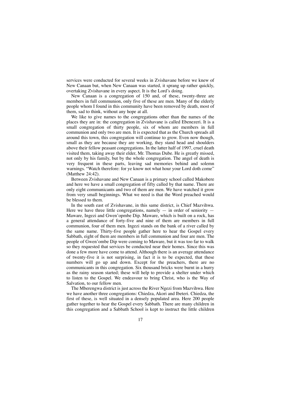services were conducted for several weeks in Zvishavane before we knew of New Canaan but, when New Canaan was started, it sprang up rather quickly, overtaking Zvishavane in every aspect. It is the Lord's doing.

New Canaan is a congregation of 150 and, of these, twenty-three are members in full communion, only five of these are men. Many of the elderly people whom I found in this community have been removed by death, most of them, sad to think, without any hope at all.

We like to give names to the congregations other than the names of the places they are in: the congregation in Zvishavane is called Ebenezeri. It is a small congregation of thirty people, six of whom are members in full communion and only two are men. It is expected that as the Church spreads all around this town, this congregation will continue to grow. Even now though, small as they are because they are working, they stand head and shoulders above their fellow peasant congregations. In the latter half of 1997, cruel death visited them, taking away their elder, Mr. Thomas Dube. He is greatly missed, not only by his family, but by the whole congregation. The angel of death is very frequent in these parts, leaving sad memories behind and solemn warnings. "Watch therefore: for ye know not what hour your Lord doth come" (Matthew 24:42).

Between Zvishavane and New Canaan is a primary school called Makobere and here we have a small congregation of fifty called by that name. There are only eight communicants and two of them are men. We have watched it grow from very small beginnings. What we need is that the Word preached would be blessed to them.

In the south east of Zvishavane, in this same district, is Chief Mazvihwa. Here we have three little congregations, namely  $-$  in order of seniority  $-$ Maware, Ingezi and Gwen'opmbe Dip. Maware, which is built on a rock, has a general attendance of forty-five and nine of them are members in full communion, four of them men. Ingezi stands on the bank of a river called by the same name. Thirty-five people gather here to hear the Gospel every Sabbath, eight of them are members in full communion and four are men. The people of Gwen'ombe Dip were coming to Maware, but it was too far to walk so they requested that services be conducted near their homes. Since this was done a few more have come to attend. Although there is an average attendance of twenty-five it is not surprising, in fact it is to be expected, that these numbers will go up and down. Except for the preachers, there are no communicants in this congregation. Six thousand bricks were burnt in a hurry as the rainy season started; these will help to provide a shelter under which to listen to the Gospel. We endeavour to bring Christ, who is the Way of Salvation, to our fellow men.

The Mberengwa district is just across the River Ngezi from Mazvihwa. Here we have another three congregations: Chiedza, Akori and Ibeteri. Chiedza, the first of these, is well situated in a densely populated area. Here 200 people gather together to hear the Gospel every Sabbath. There are many children in this congregation and a Sabbath School is kept to instruct the little children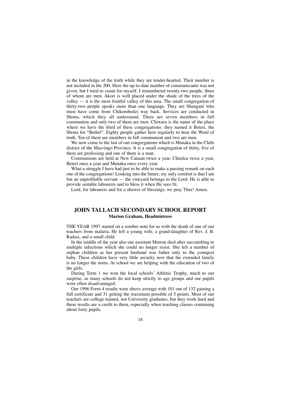in the knowledge of the truth while they are tender-hearted. Their number is not included in the 200. Here the up-to-date number of communicants was not given, but I tried to count for myself. I remembered twenty-two people, three of whom are men. Akori is well placed under the shade of the trees of the valley — it is the most fruitful valley of this area. The small congregation of thirty-two people speaks more than one language. They are Shangani who must have come from Chikombedzi way back. Services are conducted in Shona, which they all understand. There are seven members in full communion and only two of them are men. Chiwara is the name of the place where we have the third of these congregations: they named it Beteri, the Shona for "Bethel". Eighty people gather here regularly to hear the Word of truth. Ten of them are members in full communion and two are men.

We now come to the last of our congregations which is Munaka in the Chibi district of the Masvingo Province. It is a small congregation of thirty, five of them are professing and one of them is a man.

Communions are held at New Canaan twice a year, Chiedza twice a year, Beteri once a year and Munaka once every year.

What a struggle I have had just to be able to make a passing remark on each one of the congregations! Looking into the future, my only comfort is that I am but an unprofitable servant — the vineyard belongs to the Lord. He is able to provide suitable labourers and to bless it when He sees fit.

Lord, for labourers and for a shower of blessings, we pray Thee! Amen.

### **JOHN TALLACH SECONDARY SCHOOL REPORT Marion Graham, Headmistress**

THE YEAR 1997 started on a sombre note for us with the death of one of our teachers from malaria. He left a young wife, a grand-daughter of Rev. J. B. Radasi, and a small child.

In the middle of the year also our assistant Matron died after succumbing to multiple infections which she could no longer resist. She left a number of orphan children as her present husband was father only to the youngest baby. These children have very little security now that the extended family is no longer the norm. At school we are helping with the education of two of the girls.

During Term 1 we won the local schools' Athletic Trophy, much to our surprise, as many schools do not keep strictly to age groups and our pupils were often disadvantaged.

Our 1996 Form 4 results were above average with 101 out of 132 gaining a full certificate and 31 getting the maximum possible of 5 points. Most of our teachers are college trained, not University graduates, but they work hard and these results are a credit to them, especially when teaching classes containing about forty pupils.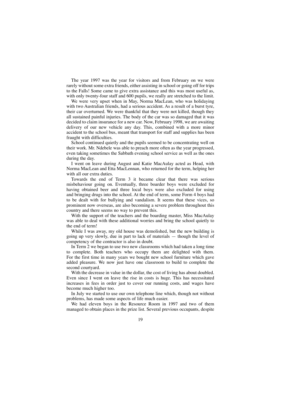The year 1997 was the year for visitors and from February on we were rarely without some extra friends, either assisting in school or going off for trips to the Falls! Some came to give extra assistance and this was most useful as, with only twenty-four staff and 600 pupils, we really are stretched to the limit.

We were very upset when in May, Norma MacLean, who was holidaying with two Australian friends, had a serious accident. As a result of a burst tyre, their car overturned. We were thankful that they were not killed, though they all sustained painful injuries. The body of the car was so damaged that it was decided to claim insurance for a new car. Now, February 1998, we are awaiting delivery of our new vehicle any day. This, combined with a more minor accident to the school bus, meant that transport for staff and supplies has been fraught with difficulties.

School continued quietly and the pupils seemed to be concentrating well on their work. Mr. Ndebele was able to preach more often as the year progressed, even taking sometimes the Sabbath evening school service as well as the ones during the day.

I went on leave during August and Katie MacAulay acted as Head, with Norma MacLean and Etta MacLennan, who returned for the term, helping her with all our extra duties.

Towards the end of Term 3 it became clear that there was serious misbehaviour going on. Eventually, three boarder boys were excluded for having obtained beer and three local boys were also excluded for using and bringing drugs into the school. At the end of term, some Form 4 boys had to be dealt with for bullying and vandalism. It seems that these vices, so prominent now overseas, are also becoming a severe problem throughout this country and there seems no way to prevent this.

With the support of the teachers and the boarding master, Miss MacAulay was able to deal with these additional worries and bring the school quietly to the end of term!

While I was away, my old house was demolished, but the new building is going up very slowly, due in part to lack of materials — though the level of competency of the contractor is also in doubt.

In Term 2 we began to use two new classrooms which had taken a long time to complete. Both teachers who occupy them are delighted with them. For the first time in many years we bought new school furniture which gave added pleasure. We now just have one classroom to build to complete the second courtyard.

With the decrease in value in the dollar, the cost of living has about doubled. Even since I went on leave the rise in costs is huge. This has necessitated increases in fees in order just to cover our running costs, and wages have become much higher too.

In July we started to use our own telephone line which, though not without problems, has made some aspects of life much easier.

We had eleven boys in the Resource Room in 1997 and two of them managed to obtain places in the prize list. Several previous occupants, despite

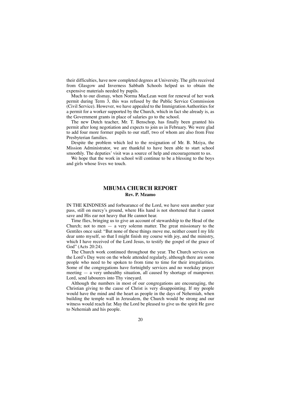their difficulties, have now completed degrees at University. The gifts received from Glasgow and Inverness Sabbath Schools helped us to obtain the expensive materials needed by pupils.

Much to our dismay, when Norma MacLean went for renewal of her work permit during Term 3, this was refused by the Public Service Commission (Civil Service). However, we have appealed to the Immigration Authorities for a permit for a worker supported by the Church, which in fact she already is, as the Government grants in place of salaries go to the school.

The new Dutch teacher, Mr. T. Benschop, has finally been granted his permit after long negotiation and expects to join us in February. We were glad to add four more former pupils to our staff, two of whom are also from Free Presbyterian families.

Despite the problem which led to the resignation of Mr. B. Mziya, the Mission Administrator, we are thankful to have been able to start school smoothly. The deputies' visit was a source of help and encouragement to us.

We hope that the work in school will continue to be a blessing to the boys and girls whose lives we touch.

### **MBUMA CHURCH REPORT Rev. P. Mzamo**

IN THE KINDNESS and forbearance of the Lord, we have seen another year pass, still on mercy's ground, where His hand is not shortened that it cannot save and His ear not heavy that He cannot hear.

Time flies, bringing us to give an account of stewardship to the Head of the Church; not to men  $-$  a very solemn matter. The great missionary to the Gentiles once said: "But none of these things move me, neither count I my life dear unto myself, so that I might finish my course with joy, and the ministry, which I have received of the Lord Jesus, to testify the gospel of the grace of God" (Acts 20:24).

The Church work continued throughout the year. The Church services on the Lord's Day were on the whole attended regularly, although there are some people who need to be spoken to from time to time for their irregularities. Some of the congregations have fortnightly services and no weekday prayer meeting — a very unhealthy situation, all caused by shortage of manpower. Lord, send labourers into Thy vineyard.

Although the numbers in most of our congregations are encouraging, the Christian giving to the cause of Christ is very disappointing. If my people would have the mind and the heart as people in the days of Nehemiah, when building the temple wall in Jerusalem, the Church would be strong and our witness would reach far. May the Lord be pleased to give us the spirit He gave to Nehemiah and his people.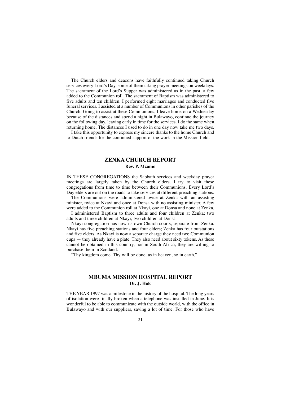The Church elders and deacons have faithfully continued taking Church services every Lord's Day, some of them taking prayer meetings on weekdays. The sacrament of the Lord's Supper was administered as in the past, a few added to the Communion roll. The sacrament of Baptism was administered to five adults and ten children. I performed eight marriages and conducted five funeral services. I assisted at a number of Communions in other parishes of the Church. Going to assist at these Communions, I leave home on a Wednesday because of the distances and spend a night in Bulawayo, continue the journey on the following day, leaving early in time for the services. I do the same when returning home. The distances I used to do in one day now take me two days.

I take this opportunity to express my sincere thanks to the home Church and to Dutch friends for the continued support of the work in the Mission field.

### **ZENKA CHURCH REPORT Rev. P. Mzamo**

IN THESE CONGREGATIONS the Sabbath services and weekday prayer meetings are largely taken by the Church elders. I try to visit these congregations from time to time between their Communions. Every Lord's Day elders are out on the roads to take services at different preaching stations.

The Communions were administered twice at Zenka with an assisting minister, twice at Nkayi and once at Donsa with no assisting minister. A few were added to the Communion roll at Nkayi, one at Donsa and none at Zenka.

I administered Baptism to three adults and four children at Zenka; two adults and three children at Nkayi; two children at Donsa.

Nkayi congregation has now its own Church courts, separate from Zenka. Nkayi has five preaching stations and four elders; Zenka has four outstations and five elders. As Nkayi is now a separate charge they need two Communion cups — they already have a plate. They also need about sixty tokens. As these cannot be obtained in this country, nor in South Africa, they are willing to purchase them in Scotland.

"Thy kingdom come. Thy will be done, as in heaven, so in earth."

### **MBUMA MISSION HOSPITAL REPORT Dr. J. Hak**

THE YEAR 1997 was a milestone in the history of the hospital. The long years of isolation were finally broken when a telephone was installed in June. It is wonderful to be able to communicate with the outside world, with the office in Bulawayo and with our suppliers, saving a lot of time. For those who have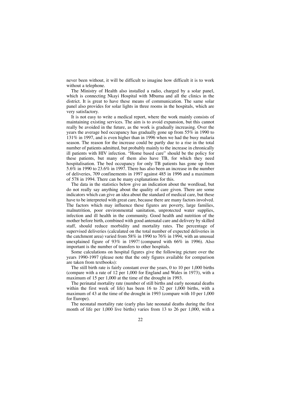never been without, it will be difficult to imagine how difficult it is to work without a telephone.

The Ministry of Health also installed a radio, charged by a solar panel, which is connecting Nkayi Hospital with Mbuma and all the clinics in the district. It is great to have these means of communication. The same solar panel also provides for solar lights in three rooms in the hospitals, which are very satisfactory.

It is not easy to write a medical report, where the work mainly consists of maintaining existing services. The aim is to avoid expansion, but this cannot really be avoided in the future, as the work is gradually increasing. Over the years the average bed occupancy has gradually gone up from 55% in 1990 to 131% in 1997, and is even higher than in 1996 when we had the busy malaria season. The reason for the increase could be partly due to a rise in the total number of patients admitted, but probably mainly to the increase in chronically ill patients with HIV infection. "Home based care" should be the policy for these patients, but many of them also have TB, for which they need hospitalisation. The bed occupancy for only TB patients has gone up from 5.6% in 1990 to 23.6% in 1997. There has also been an increase in the number of deliveries, 709 confinements in 1997 against 485 in 1996 and a maximum of 578 in 1994. There can be many explanations for this.

The data in the statistics below give an indication about the wordload, but do not really say anything about the quality of care given. There are some indicators which can give an idea about the standard of medical care, but these have to be interpreted with great care, because there are many factors involved. The factors which may influence these figures are poverty, large families, malnutrition, poor environmental sanitation, unprotected water supplies, infection and ill health in the community. Good health and nutrition of the mother before birth, combined with good antenatal care and delivery by skilled staff, should reduce morbidity and mortality rates. The percentage of supervised deliveries (calculated on the total number of expected deliveries in the catchment area) varied from 58% in 1990 to 76% in 1994, with an unusual unexplained figure of 93% in 1997! (compared with 66% in 1996). Also important is the number of transfers to other hospitals.

Some calculations on hospital figures give the following picture over the years 1990-1997 (please note that the only figures available for comparison are taken from textbooks):

The still birth rate is fairly constant over the years, 0 to 10 per 1,000 births (compare with a rate of 12 per 1,000 for England and Wales in 1973), with a maximum of 15 per 1,000 at the time of the drought in 1993.

The perinatal mortality rate (number of still births and early neonatal deaths within the first week of life) has been 16 to 32 per 1,000 births, with a maximum of 43 at the time of the drought in 1993 (compare with 10 per 1,000 for Europe).

The neonatal mortality rate (early plus late neonatal deaths during the first month of life per 1,000 live births) varies from 13 to 26 per 1,000, with a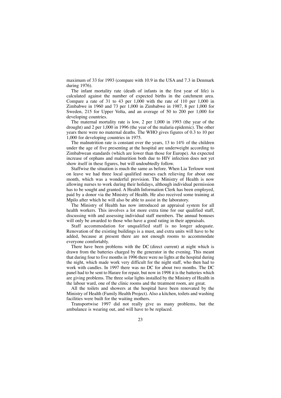maximum of 33 for 1993 (compare with 10.9 in the USA and 7.3 in Denmark during 1976).

The infant mortality rate (death of infants in the first year of life) is calculated against the number of expected births in the catchment area. Compare a rate of 31 to 43 per 1,000 with the rate of 110 per 1,000 in Zimbabwe in 1960 and 73 per 1,000 in Zimbabwe in 1987, 8 per 1,000 for Sweden, 215 for Upper Volta, and an average of 50 to 200 per 1,000 for developing countries.

The maternal mortality rate is low, 2 per 1,000 in 1993 (the year of the drought) and 2 per 1,000 in 1996 (the year of the malaria epidemic). The other years there were no maternal deaths. The WHO gives figures of 0.3 to 10 per 1,000 for developing countries in 1975.

The malnutrition rate is constant over the years, 13 to 14% of the children under the age of five presenting at the hospital are underweight according to Zimbabwean standards (which are lower than those for Europe). An expected increase of orphans and malnurition both due to HIV infection does not yet show itself in these figures, but will undoubtedly follow.

Staffwise the situation is much the same as before. When Lia Terlouw went on leave we had three local qualified nurses each relieving for about one month, which was a wonderful provision. The Ministry of Health is now allowing nurses to work during their holidays, although individual permission has to be sought and granted. A Health Information Clerk has been employed, paid by a donor via the Ministry of Health. He also received some training at Mpilo after which he will also be able to assist in the laboratory.

The Ministry of Health has now introduced an appraisal system for all health workers. This involves a lot more extra time for our qualified staff, discussing with and assessing individual staff members. The annual bonuses will only be awarded to those who have a good rating in their appraisals.

Staff accommodation for unqualified staff is no longer adequate. Renovation of the existing buildings is a must, and extra units will have to be added, because at present there are not enough rooms to accommodate everyone comfortably.

There have been problems with the DC (direct current) at night which is drawn from the batteries charged by the generator in the evening. This meant that during four to five months in 1996 there were no lights at the hospital during the night, which made work very difficult for the night staff, who then had to work with candles. In 1997 there was no DC for about two months. The DC panel had to be sent to Harare for repair, but now in 1998 it is the batteries which are giving problems. The three solar lights installed by the Ministry of Health in the labour ward, one of the clinic rooms and the treatment room, are great.

All the toilets and showers at the hospital have been renovated by the Ministry of Health (Family Health Project). Also a kitchen, toilets and washing facilities were built for the waiting mothers.

Transportwise 1997 did not really give us many problems, but the ambulance is wearing out, and will have to be replaced.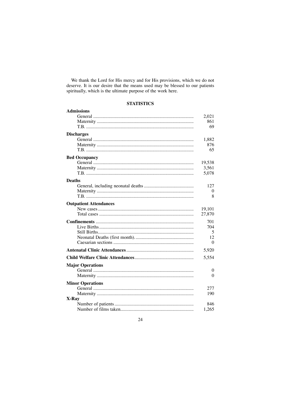We thank the Lord for His mercy and for His provisions, which we do not deserve. It is our desire that the means used may be blessed to our patients spiritually, which is the ultimate purpose of the work here.

### **STATISTICS**

| <b>Admissions</b>             |        |  |  |
|-------------------------------|--------|--|--|
|                               | 2,021  |  |  |
|                               | 861    |  |  |
|                               | 69     |  |  |
| <b>Discharges</b>             |        |  |  |
|                               | 1,882  |  |  |
|                               | 876    |  |  |
|                               | 65     |  |  |
| <b>Bed Occupancy</b>          |        |  |  |
|                               | 19,538 |  |  |
|                               | 3,561  |  |  |
|                               | 5.078  |  |  |
| <b>Deaths</b>                 |        |  |  |
|                               | 127    |  |  |
|                               | 0      |  |  |
|                               | 8      |  |  |
| <b>Outpatient Attendances</b> |        |  |  |
|                               | 19,101 |  |  |
|                               | 27,870 |  |  |
|                               | 701    |  |  |
|                               | 704    |  |  |
|                               | 5      |  |  |
|                               | 12     |  |  |
|                               | 0      |  |  |
|                               | 5,920  |  |  |
|                               |        |  |  |
|                               | 5,554  |  |  |
| <b>Major Operations</b>       |        |  |  |
|                               | 0      |  |  |
|                               | 0      |  |  |
| <b>Minor Operations</b>       |        |  |  |
|                               | 277    |  |  |
|                               | 190    |  |  |
| X-Ray                         |        |  |  |
|                               | 846    |  |  |
|                               | 1,265  |  |  |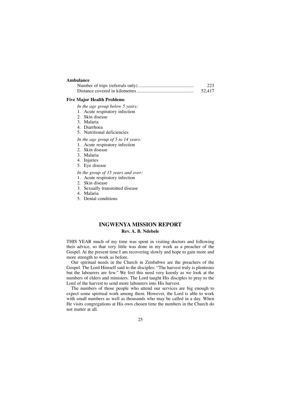### **Ambulance**

| 223    |
|--------|
| 52.417 |

#### **Five Major Health Problems**

- *In the age group below 5 years:*
- 1. Acute respiratory infection
- 2. Skin disease
- 3. Malaria
- 4. Diarrhoea
- 5. Nutritional deficiencies
- *In the age group of 5 to 14 years:*
- 1. Acute respiratory infection
- 2. Skin disease
- 3. Malaria
- 4. Injuries
- 5. Eye disease
- *In the group of 15 years and over:*
- 1. Acute respiratory infection
- 2. Skin disease
- 3. Sexually transmitted disease
- 4. Malaria
- 5. Dental conditions

### **INGWENYA MISSION REPORT Rev. A. B. Ndebele**

THIS YEAR much of my time was spent in visiting doctors and following their advice, so that very little was done in my work as a preacher of the Gospel. At the present time I am recovering slowly and hope to gain more and more strength to work as before.

Our spiritual needs in the Church in Zimbabwe are the preachers of the Gospel. The Lord Himself said to the disciples: "The harvest truly is plenteous but the labourers are few." We feel this need very keenly as we look at the numbers of elders and ministers. The Lord taught His disciples to pray to the Lord of the harvest to send more labourers into His harvest.

The numbers of those people who attend our services are big enough to expect some spiritual work among them. However, the Lord is able to work with small numbers as well as thousands who may be called in a day. When He visits congregations at His own chosen time the numbers in the Church do not matter at all.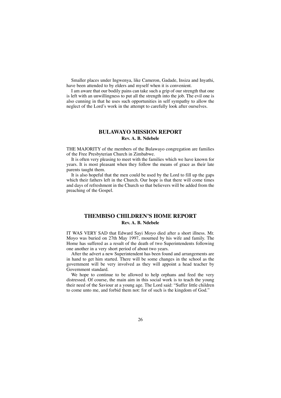Smaller places under Ingwenya, like Cameron, Gadade, Insiza and Inyathi, have been attended to by elders and myself when it is convenient.

I am aware that our bodily pains can take such a grip of our strength that one is left with an unwillingness to put all the strength into the job. The evil one is also cunning in that he uses such opportunities in self sympathy to allow the neglect of the Lord's work in the attempt to carefully look after ourselves.

### **BULAWAYO MISSION REPORT Rev. A. B. Ndebele**

THE MAJORITY of the members of the Bulawayo congregation are families of the Free Presbyterian Church in Zimbabwe.

It is often very pleasing to meet with the families which we have known for years. It is most pleasant when they follow the means of grace as their late parents taught them.

It is also hopeful that the men could be used by the Lord to fill up the gaps which their fathers left in the Church. Our hope is that there will come times and days of refreshment in the Church so that believers will be added from the preaching of the Gospel.

### **THEMBISO CHILDREN'S HOME REPORT Rev. A. B. Ndebele**

IT WAS VERY SAD that Edward Sayi Moyo died after a short illness. Mr. Moyo was buried on 27th May 1997, mourned by his wife and family. The Home has suffered as a result of the death of two Superintendents following one another in a very short period of about two years.

After the advert a new Superintendent has been found and arrangements are in hand to get him started. There will be some changes in the school as the government will be very involved as they will appoint a head teacher by Government standard.

We hope to continue to be allowed to help orphans and feed the very distressed. Of course, the main aim in this social work is to teach the young their need of the Saviour at a young age. The Lord said: "Suffer little children to come unto me, and forbid them not: for of such is the kingdom of God."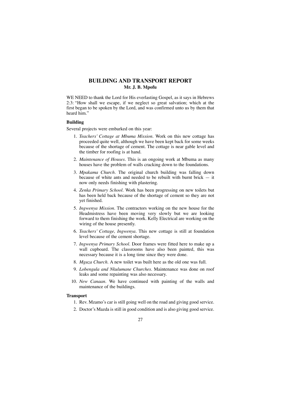### **BUILDING AND TRANSPORT REPORT Mr. J. B. Mpofu**

WE NEED to thank the Lord for His everlasting Gospel, as it says in Hebrews 2:3: "How shall we escape, if we neglect so great salvation; which at the first began to be spoken by the Lord, and was confirmed unto us by them that heard him."

### **Building**

Several projects were embarked on this year:

- 1. *Teachers' Cottage at Mbuma Mission.* Work on this new cottage has proceeded quite well, although we have been kept back for some weeks because of the shortage of cement. The cottage is near gable level and the timber for roofing is at hand.
- 2. *Maintenance of Houses.* This is an ongoing work at Mbuma as many houses have the problem of walls cracking down to the foundations.
- 3. *Mpakama Church.* The original church building was falling down because of white ants and needed to be rebuilt with burnt brick — it now only needs finishing with plastering.
- 4. *Zenka Primary School.* Work has been progressing on new toilets but has been held back because of the shortage of cement so they are not yet finished.
- 5. *Ingwenya Mission.* The contractors working on the new house for the Headmistress have been moving very slowly but we are looking forward to them finishing the work. Kelly Electrical are working on the wiring of the house presently.
- 6. *Teachers' Cottage, Ingwenya.* This new cottage is still at foundation level because of the cement shortage.
- 7. *Ingwenya Primary School.* Door frames were fitted here to make up a wall cupboard. The classrooms have also been painted, this was necessary because it is a long time since they were done.
- 8. *Mguza Church.* A new toilet was built here as the old one was full.
- 9. *Lobengula and Nkulumane Churches.* Maintenance was done on roof leaks and some repainting was also necessary.
- 10. *New Canaan.* We have continued with painting of the walls and maintenance of the buildings.

### **Transport**

- 1. Rev. Mzamo's car is still going well on the road and giving good service.
- 2. Doctor's Mazda is still in good condition and is also giving good service.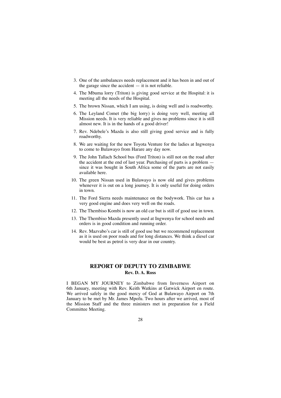- 3. One of the ambulances needs replacement and it has been in and out of the garage since the accident  $-$  it is not reliable.
- 4. The Mbuma lorry (Triton) is giving good service at the Hospital: it is meeting all the needs of the Hospital.
- 5. The brown Nissan, which I am using, is doing well and is roadworthy.
- 6. The Leyland Comet (the big lorry) is doing very well, meeting all Mission needs. It is very reliable and gives no problems since it is still almost new. It is in the hands of a good driver!
- 7. Rev. Ndebele's Mazda is also still giving good service and is fully roadworthy.
- 8. We are waiting for the new Toyota Venture for the ladies at Ingwenya to come to Bulawayo from Harare any day now.
- 9. The John Tallach School bus (Ford Triton) is still not on the road after the accident at the end of last year. Purchasing of parts is a problem since it was bought in South Africa some of the parts are not easily available here.
- 10. The green Nissan used in Bulawayo is now old and gives problems whenever it is out on a long journey. It is only useful for doing orders in town.
- 11. The Ford Sierra needs maintenance on the bodywork. This car has a very good engine and does very well on the roads.
- 12. The Thembiso Kombi is now an old car but is still of good use in town.
- 13. The Thembiso Mazda presently used at Ingwenya for school needs and orders is in good condition and running order.
- 14. Rev. Mazvabo's car is still of good use but we recommend replacement as it is used on poor roads and for long distances. We think a diesel car would be best as petrol is very dear in our country.

### **REPORT OF DEPUTY TO ZIMBABWE Rev. D. A. Ross**

I BEGAN MY JOURNEY to Zimbabwe from Inverness Airport on 6th January, meeting with Rev. Keith Watkins at Gatwick Airport en route. We arrived safely in the good mercy of God at Bulawayo Airport on 7th January to be met by Mr. James Mpofu. Two hours after we arrived, most of the Mission Staff and the three ministers met in preparation for a Field Committee Meeting.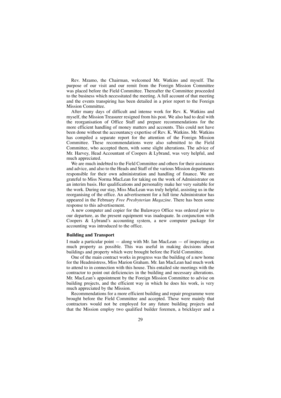Rev. Mzamo, the Chairman, welcomed Mr. Watkins and myself. The purpose of our visit and our remit from the Foreign Mission Committee was placed before the Field Committee. Thereafter the Committee proceeded to the business which necessitated the meeting. A full account of that meeting and the events transpiring has been detailed in a prior report to the Foreign Mission Committee.

After many days of difficult and intense work for Rev. K. Watkins and myself, the Mission Treasurer resigned from his post. We also had to deal with the reorganisation of Office Staff and prepare recommendations for the more efficient handling of money matters and accounts. This could not have been done without the accountancy expertise of Rev. K. Watkins. Mr. Watkins has compiled a separate report for the attention of the Foreign Mission Committee. These recommendations were also submitted to the Field Committee, who accepted them, with some slight alterations. The advice of Mr. Harvey, Head Accountant of Coopers & Lybrand, was very helpful, and much appreciated.

We are much indebted to the Field Committee and others for their assistance and advice, and also to the Heads and Staff of the various Mission departments responsible for their own administration and handling of finance. We are grateful to Miss Norma MacLean for taking on the work of Administrator on an interim basis. Her qualifications and personality make her very suitable for the work. During our stay, Miss MacLean was truly helpful, assisting us in the reorganising of the office. An advertisement for a full time Administrator has appeared in the February *Free Presbyterian Magazine.* There has been some response to this advertisement.

A new computer and copier for the Bulawayo Office was ordered prior to our departure, as the present equipment was inadequate. In conjunction with Coopers & Lybrand's accounting system, a new computer package for accounting was introduced to the office.

### **Building and Transport**

I made a particular point  $-$  along with Mr. Ian MacLean  $-$  of inspecting as much property as possible. This was useful in making decisions about buildings and property which were brought before the Field Committee.

One of the main contract works in progress was the building of a new home for the Headmistress, Miss Marion Graham. Mr. Ian MacLean had much work to attend to in connection with this house. This entailed site meetings with the contractor to point out deficiencies in the building and necessary alterations. Mr. MacLean's appointment by the Foreign Mission Committee to advise on building projects, and the efficient way in which he does his work, is very much appreciated by the Mission.

Recommendations for a more efficient building and repair programme were brought before the Field Committee and accepted. These were mainly that contractors would not be employed for any future building projects and that the Mission employ two qualified builder foremen, a bricklayer and a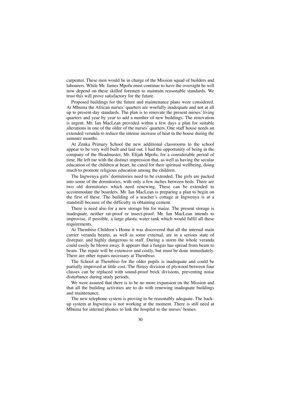carpenter. These men would be in charge of the Mission squad of builders and labourers. While Mr. James Mpofu must continue to have the oversight he will now depend on these skilled foremen to maintain reasonable standards. We trust this will prove satisfactory for the future.

Proposed buildings for the future and maintenance plans were considered. At Mbuma the African nurses' quarters are woefully inadequate and not at all up to present-day standards. The plan is to renovate the present nurses' living quarters and year by year to add a number of new buildings. The renovation is urgent. Mr. Ian MacLean provided within a few days a plan for suitable alterations in one of the older of the nurses' quarters. One staff house needs an extended veranda to reduce the intense increase of heat in the house during the summer months.

At Zenka Primary School the new additional classrooms to the school appear to be very well built and laid out. I had the opportunity of being in the company of the Headmaster, Mr. Elijah Mpofu, for a considerable period of time. He left me with the distinct impression that, as well as having the secular education of the children at heart, he cared for their spiritual wellbeing, doing much to promote religious education among the children.

The Ingwenya girls' dormitories need to be extended. The girls are packed into some of the dormitories, with only a few inches between beds. There are two old dormitories which need renewing. These can be extended to accommodate the boarders. Mr. Ian MacLean is preparing a plan to begin on the first of these. The building of a teacher's cottage at Ingwenya is at a standstill because of the difficulty in obtaining cement.

There is need also for a new storage bin for maize. The present storage is inadequate, neither rat-proof or insect-proof. Mr. Ian MacLean intends to improvise, if possible, a large plastic water tank which would fulfil all these requirements.

At Thembiso Children's Home it was discovered that all the internal main carrier veranda beams, as well as some external, are in a serious state of disrepair, and highly dangerous to staff. During a storm the whole veranda could easily be blown away. It appears that a fungus has spread from beam to beam. The repair will be extensive and costly, but must be done immediately. There are other repairs necessary at Thembiso.

The School at Thembiso for the older pupils is inadequate and could be partially improved at little cost. The flimsy division of plywood between four classes can be replaced with sound-proof brick divisions, preventing noise disturbance during study periods.

We were assured that there is to be no more expansion on the Mission and that all the building activities are to do with renewing inadequate buildings and maintenance.

The new telephone system is proving to be reasonably adequate. The backup system at Ingwenya is not working at the moment. There is still need at Mbuma for internal phones to link the hospital to the nurses' homes.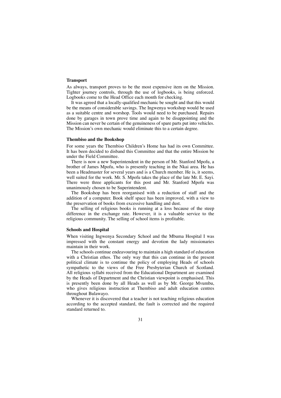### **Transport**

As always, transport proves to be the most expensive item on the Mission. Tighter journey controls, through the use of logbooks, is being enforced. Logbooks come to the Head Office each month for checking.

It was agreed that a locally-qualified mechanic be sought and that this would be the means of considerable savings. The Ingwenya workshop would be used as a suitable centre and worshop. Tools would need to be purchased. Repairs done by garages in town prove time and again to be disappointing and the Mission can never be certain of the genuineness of spare parts put into vehicles. The Mission's own mechanic would eliminate this to a certain degree.

#### **Thembiso and the Bookshop**

For some years the Thembiso Children's Home has had its own Committee. It has been decided to disband this Committee and that the entire Mission be under the Field Committee.

There is now a new Superintendent in the person of Mr. Stanford Mpofu, a brother of James Mpofu, who is presently teaching in the Nkai area. He has been a Headmaster for several years and is a Church member. He is, it seems, well suited for the work. Mr. S. Mpofu takes the place of the late Mr. E. Sayi. There were three applicants for this post and Mr. Stanford Mpofu was unanimously chosen to be Superintendent.

The Bookshop has been reorganised with a reduction of staff and the addition of a computer. Book shelf space has been improved, with a view to the preservation of books from excessive handling and dust.

The selling of religious books is running at a loss because of the steep difference in the exchange rate. However, it is a valuable service to the religious community. The selling of school items is profitable.

#### **Schools and Hospital**

When visiting Ingwenya Secondary School and the Mbuma Hospital I was impressed with the constant energy and devotion the lady missionaries maintain in their work.

The schools continue endeavouring to maintain a high standard of education with a Christian ethos. The only way that this can continue in the present political climate is to continue the policy of employing Heads of schools sympathetic to the views of the Free Presbyterian Church of Scotland. All religious syllabi received from the Educational Department are examined by the Heads of Department and the Christian viewpoint is emphasised. This is presently been done by all Heads as well as by Mr. George Mvumbu, who gives religious instruction at Thembiso and adult education centres throughout Bulawayo.

Whenever it is discovered that a teacher is not teaching religious education according to the accepted standard, the fault is corrected and the required standard returned to.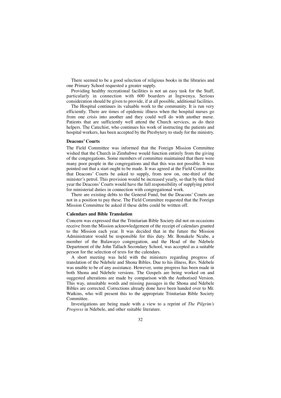There seemed to be a good selection of religious books in the libraries and one Primary School requested a greater supply.

Providing healthy recreational facilities is not an easy task for the Staff, particularly in connection with 600 boarders at Ingwenya. Serious consideration should be given to provide, if at all possible, additional facilities.

The Hospital continues its valuable work to the community. It is run very efficiently. There are times of epidemic illness when the hospital nurses go from one crisis into another and they could well do with another nurse. Patients that are sufficiently well attend the Church services, as do their helpers. The Catechist, who continues his work of instructing the patients and hospital workers, has been accepted by the Presbytery to study for the ministry.

#### **Deacons' Courts**

The Field Committee was informed that the Foreign Mission Committee wished that the Church in Zimbabwe would function entirely from the giving of the congregations. Some members of committee maintained that there were many poor people in the congregations and that this was not possible. It was pointed out that a start ought to be made. It was agreed at the Field Committee that Deacons' Courts be asked to supply, from now on, one-third of the minister's petrol. This provision would be increased yearly, so that by the third year the Deacons'Courts would have the full responsibility of supplying petrol for ministerial duties in connection with congregational work.

There are existing debts to the General Fund, but the Deacons' Courts are not in a position to pay these. The Field Committee requested that the Foreign Mission Committee be asked if these debts could be written off.

#### **Calendars and Bible Translation**

Concern was expressed that the Trinitarian Bible Society did not on occasions receive from the Mission acknowledgement of the receipt of calendars granted to the Mission each year. It was decided that in the future the Mission Administrator would be responsible for this duty. Mr. Bonakele Ncube, a member of the Bulawayo congregation, and the Head of the Ndebele Department of the John Tallach Secondary School, was accepted as a suitable person for the selection of texts for the calendars.

A short meeting was held with the ministers regarding progress of translation of the Ndebele and Shona Bibles. Due to his illness, Rev. Ndebele was unable to be of any assistance. However, some progress has been made in both Shona and Ndebele versions. The Gospels are being worked on and suggested alterations are made by comparison with the Authorised Version. This way, unsuitable words and missing passages in the Shona and Ndebele Bibles are corrected. Corrections already done have been handed over to Mr. Watkins, who will present this to the appropriate Trinitarian Bible Society Committee.

Investigations are being made with a view to a reprint of *The Pilgrim's Progress* in Ndebele, and other suitable literature.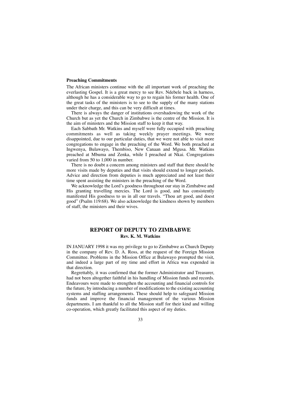### **Preaching Commitments**

The African ministers continue with the all important work of preaching the everlasting Gospel. It is a great mercy to see Rev. Ndebele back in harness, although he has a considerable way to go to regain his former health. One of the great tasks of the ministers is to see to the supply of the many stations under their charge, and this can be very difficult at times.

There is always the danger of institutions overshadowing the work of the Church but as yet the Church in Zimbabwe is the centre of the Mission. It is the aim of ministers and the Mission staff to keep it that way.

Each Sabbath Mr. Watkins and myself were fully occupied with preaching commitments as well as taking weekly prayer meetings. We were disappointed, due to our particular duties, that we were not able to visit more congregations to engage in the preaching of the Word. We both preached at Ingwenya, Bulawayo, Thembiso, New Canaan and Mgusa. Mr. Watkins preached at Mbuma and Zenka, while I preached at Nkai. Congregations varied from 50 to 1,000 in number.

There is no doubt a concern among ministers and staff that there should be more visits made by deputies and that visits should extend to longer periods. Advice and direction from deputies is much appreciated and not least their time spent assisting the ministers in the preaching of the Word.

We acknowledge the Lord's goodness throughout our stay in Zimbabwe and His granting travelling mercies. The Lord is good, and has consistently manifested His goodness to us in all our travels. "Thou art good, and doest good" (Psalm 119:68). We also acknowledge the kindness shown by members of staff, the ministers and their wives.

### **REPORT OF DEPUTY TO ZIMBABWE Rev. K. M. Watkins**

IN JANUARY 1998 it was my privilege to go to Zimbabwe as Church Deputy in the company of Rev. D. A. Ross, at the request of the Foreign Mission Committee. Problems in the Mission Office at Bulawayo prompted the visit, and indeed a large part of my time and effort in Africa was expended in that direction.

Regrettably, it was confirmed that the former Administrator and Treasurer, had not been altogether faithful in his handling of Mission funds and records. Endeavours were made to strengthen the accounting and financial controls for the future, by introducing a number of modifications to the existing accounting systems and staffing arrangements. These should help to safeguard Mission funds and improve the financial management of the various Mission departments. I am thankful to all the Mission staff for their kind and willing co-operation, which greatly facilitated this aspect of my duties.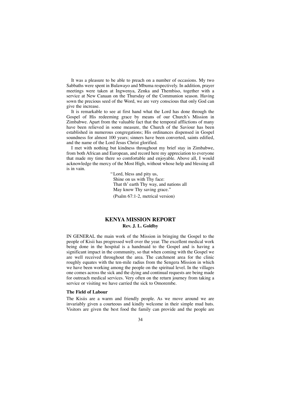It was a pleasure to be able to preach on a number of occasions. My two Sabbaths were spent in Bulawayo and Mbuma respectively. In addition, prayer meetings were taken at Ingwenya, Zenka and Thembiso, together with a service at New Canaan on the Thursday of the Communion season. Having sown the precious seed of the Word, we are very conscious that only God can give the increase.

It is remarkable to see at first hand what the Lord has done through the Gospel of His redeeming grace by means of our Church's Mission in Zimbabwe. Apart from the valuable fact that the temporal afflictions of many have been relieved in some measure, the Church of the Saviour has been established in numerous congregations; His ordinances dispensed in Gospel soundness for almost 100 years; sinners have been converted, saints edified, and the name of the Lord Jesus Christ glorified.

I met with nothing but kindness throughout my brief stay in Zimbabwe, from both African and European, and record here my appreciation to everyone that made my time there so comfortable and enjoyable. Above all, I would acknowledge the mercy of the Most High, without whose help and blessing all is in vain.

> "Lord, bless and pity us, Shine on us with Thy face: That th' earth Thy way, and nations all May know Thy saving grace." (Psalm 67:1-2, metrical version)

**KENYA MISSION REPORT Rev. J. L. Goldby**

IN GENERAL the main work of the Mission in bringing the Gospel to the people of Kisii has progressed well over the year. The excellent medical work being done in the hospital is a handmaid to the Gospel and is having a significant impact in the community, so that when coming with the Gospel we are well received throughout the area. The catchment area for the clinic roughly equates with the ten-mile radius from the Sengera Mission in which we have been working among the people on the spiritual level. In the villages one comes across the sick and the dying and continual requests are being made for outreach medical services. Very often on the return journey from taking a service or visiting we have carried the sick to Omorembe.

#### **The Field of Labour**

The Kisiis are a warm and friendly people. As we move around we are invariably given a courteous and kindly welcome in their simple mud huts. Visitors are given the best food the family can provide and the people are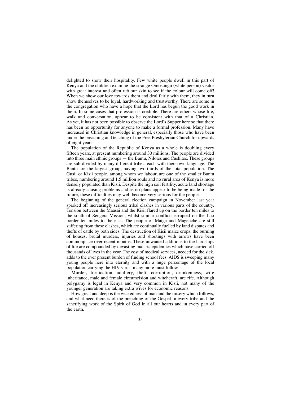delighted to show their hospitality. Few white people dwell in this part of Kenya and the children examine the strange Omosungu (white person) visitor with great interest and often rub our skin to see if the colour will come off! When we show our love towards them and deal fairly with them, they in turn show themselves to be loyal, hardworking and trustworthy. There are some in the congregation who have a hope that the Lord has begun the good work in them. In some cases that profession is credible. There are others whose life, walk and conversation, appear to be consistent with that of a Christian. As yet, it has not been possible to observe the Lord's Supper here so that there has been no opportunity for anyone to make a formal profession. Many have increased in Christian knowledge in general, especially those who have been under the preaching and teaching of the Free Presbyterian Church for upwards of eight years.

The population of the Republic of Kenya as a whole is doubling every fifteen years, at present numbering around 30 millions. The people are divided into three main ethnic groups — the Bantu, Nilotes and Cushites. These groups are sub-divided by many different tribes, each with their own language. The Bantu are the largest group, having two-thirds of the total population. The Gusii or Kisii people, among whom we labour, are one of the smaller Bantu tribes, numbering around 1.5 million souls and no rural area of Kenya is more densely populated than Kisii. Despite the high soil fertility, acute land shortage is already causing problems and as no plans appear to be being made for the future, these difficulties may well become very serious for the people.

The beginning of the general election campaign in November last year sparked off increasingly serious tribal clashes in various parts of the country. Tension between the Maasai and the Kisii flared up on the border ten miles to the south of Sengera Mission, whilst similar conflicts errupted on the Luo border ten miles to the east. The people of Maiga and Magenche are still suffering from these clashes, which are continually fuelled by land disputes and thefts of cattle by both sides. The destruction of Kisii maize crops, the burning of houses, brutal murders, injuries and shootings with arrows have been commonplace over recent months. These unwanted additions to the hardships of life are compounded by devasting malaria epidemics which have carried off thousands of lives in the year. The cost of medical services, needed for the sick, adds to the ever present burden of finding school fees. AIDS is sweeping many young people here into eternity and with a huge percentage of the local population carrying the HIV virus, many more must follow.

Murder, fornication, adultery, theft, corruption, drunkenness, wife inheritance, male and female circumcision and witchcraft, are rife. Although polygamy is legal in Kenya and very common in Kisii, not many of the younger generation are taking extra wives for economic reasons.

How great and deep is the wickedness of man and the misery which follows, and what need there is of the preaching of the Gospel in every tribe and the sanctifying work of the Spirit of God in all our hearts and in every part of the earth.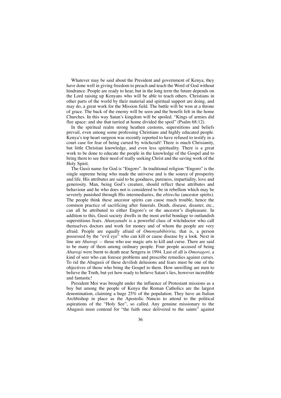Whatever may be said about the President and government of Kenya, they have done well in giving freedom to preach and teach the Word of God without hindrance. People are ready to hear, but in the long term the future depends on the Lord raising up Kenyans who will be able to teach others. Christians in other parts of the world by their material and spiritual support are doing, and may do, a great work for the Mission field. The battle will be won at a throne of grace. The back of the enemy will be seen and the benefit felt in the home Churches. In this way Satan's kingdom will be spoiled. "Kings of armies did flee apace: and she that tarried at home divided the spoil" (Psalm 68:12).

In the spiritual realm strong heathen customs, superstitions and beliefs prevail, even among some professing Christians and highly educated people. Kenya's top heart surgeon was recently reported to have refused to testify in a court case for fear of being cursed by witchcraft! There is much Chrisianity, but little Christian knowledge, and even less spirituality. There is a great work to be done to educate the people in the knowledge of the Gospel and to bring them to see their need of really seeking Christ and the saving work of the Holy Spirit.

The Gusii name for God is "Engoro". In traditional religion "Engoro" is the single supreme being who made the universe and is the source of prosperity and life. His attributes are said to be goodness, pureness, impartiality, love and generosity. Man, being God's creature, should reflect these attributes and behaviour and he who does not is considered to be in rebellion which may be severely punished through His intermediaries, the *ebirecha* (ancestor spirits). The people think these ancestor spirits can cause much trouble, hence the common practice of sacrificing after funerals. Death, disease, disaster, etc., can all be attributed to either Engoro's or the ancestor's displeasure. In addition to this, Gusii society dwells in the most awful bondage to outlandish superstitious fears. *Abanyanabi* is a powerful class of witchdoctor who call themselves doctors and work for money and of whom the people are very afraid. People are equally afraid of *Omonyabibiriria,* that is, a person possessed by the "evil eye" who can kill or cause disease by a look. Next in line are *Abarogi —* those who use magic arts to kill and curse. There are said to be many of them among ordinary people. Four people accused of being *Abarogi* were burnt to death near Sengera in 1994. Last of all is *Omoragori,* a kind of seer who can foresee problems and prescribe remedies against curses. To rid the Abagusii of these devilish delusions and fears must be one of the objectives of those who bring the Gospel to them. How unwilling are men to believe the Truth, but yet how ready to believe Satan's lies, however incredible and fantastic!

President Moi was brought under the influence of Protestant missions as a boy but among the people of Kenya the Roman Catholics are the largest denomination, claiming a huge 25% of the population. They have an Italian Archbishop in place as the Apostolic Nuncio to attend to the political aspirations of the "Holy See", so called. Any genuine missionary to the Abagusii must contend for "the faith once delivered to the saints" against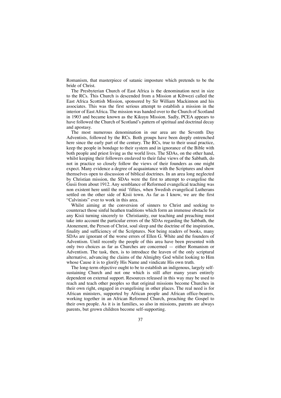Romanism, that masterpiece of satanic imposture which pretends to be the bride of Christ.

The Presbyterian Church of East Africa is the denomination next in size to the RCs. This Church is descended from a Mission at Kibwezi called the East Africa Scottish Mission, sponsored by Sir William Mackinnon and his associates. This was the first serious attempt to establish a mission in the interior of East Africa. The mission was handed over to the Church of Scotland in 1903 and became known as the Kikuyu Mission. Sadly, PCEA appears to have followed the Church of Scotland's pattern of spiritual and doctrinal decay and apostasy.

The most numerous denomination in our area are the Seventh Day Adventists, followed by the RCs. Both groups have been deeply entrenched here since the early part of the century. The RCs, true to their usual practice, keep the people in bondage to their system and in ignorance of the Bible with both people and priest living as the world lives. The SDAs, on the other hand, whilst keeping their followers enslaved to their false views of the Sabbath, do not in practice so closely follow the views of their founders as one might expect. Many evidence a degree of acquaintance with the Scriptures and show themselves open to discussion of biblical doctrines. In an area long neglected by Christian mission, the SDAs were the first to attempt to evangelise the Gusii from about 1912. Any semblance of Reformed evangelical teaching was non existent here until the mid 'fifties, when Swedish evangelical Lutherans settled on the other side of Kisii town. As far as I know, we are the first "Calvinists" ever to work in this area.

Whilst aiming at the conversion of sinners to Christ and seeking to counteract those sinful heathen traditions which form an immense obstacle for any Kisii turning sincerely to Christianity, our teaching and preaching must take into account the particular errors of the SDAs regarding the Sabbath, the Atonement, the Person of Christ, soul sleep and the doctrine of the inspiration, finality and sufficiency of the Scriptures. Not being readers of books, many SDAs are ignorant of the worse errors of Ellen G. White and the founders of Adventism. Until recently the people of this area have been presented with only two choices as far as Churches are concerned — either Romanism or Adventism. The task, then, is to introduce the leaven of the only scriptural alternative, advancing the claims of the Almighty God whilst looking to Him whose Cause it is to glorify His Name and vindicate His own truth.

The long-term objective ought to be to establish an indigenous, largely selfsustaining Church and not one which is still after many years entirely dependent on external support. Resources released in this way may be used to reach and teach other peoples so that original missions become Churches in their own right, engaged in evangelising in other places. The real need is for African ministers, supported by African people and African office-bearers, working together in an African Reformed Church, preaching the Gospel to their own people. As it is in families, so also in missions, parents are always parents, but grown children become self-supporting.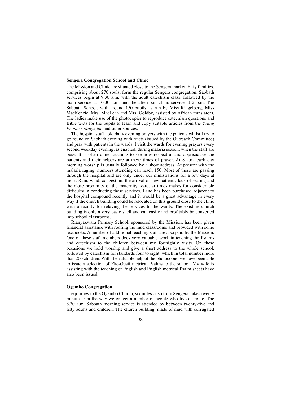#### **Sengera Congregation School and Clinic**

The Mission and Clinic are situated close to the Sengera market. Fifty families, comprising about 276 souls, form the regular Sengera congregation. Sabbath services begin at 9.30 a.m. with the adult catechism class, followed by the main service at 10.30 a.m. and the afternoon clinic service at 2 p.m. The Sabbath School, with around 150 pupils, is run by Miss Ringelberg, Miss MacKenzie, Mrs. MacLean and Mrs. Goldby, assisted by African translators. The ladies make use of the photocopier to reproduce catechism questions and Bible texts for the pupils to learn and copy suitable articles from the *Young People's Magazine* and other sources.

The hospital staff hold daily evening prayers with the patients whilst I try to go round on Sabbath evening with tracts (issued by the Outreach Committee) and pray with patients in the wards. I visit the wards for evening prayers every second weekday evening, as enabled, during malaria season, when the staff are busy. It is often quite touching to see how respectful and appreciative the patients and their helpers are at these times of prayer. At 8 a.m. each day morning worship is usually followed by a short address. At present with the malaria raging, numbers attending can reach 150. Most of these are passing through the hospital and are only under our ministrations for a few days at most. Rain, wind, congestion, the arrival of new patients, lack of seating and the close proximity of the maternity ward, at times makes for considerable difficulty in conducting these services. Land has been purchased adjacent to the hospital compound recently and it would be a great advantage in every way if the church building could be relocated on this ground close to the clinic with a facility for relaying the services to the wards. The existing church building is only a very basic shell and can easily and profitably be converted into school classrooms.

Rianyakwara Primary School, sponsored by the Mission, has been given financial assistance with roofing the mud classrooms and provided with some textbooks. A number of additional teaching staff are also paid by the Mission. One of these staff members does very valuable work in teaching the Psalms and catechism to the children between my fortnightly visits. On these occasions we hold worship and give a short address to the whole school, followed by catechism for standards four to eight, which in total number more than 200 children. With the valuable help of the photocopier we have been able to issue a selection of Eke-Gusii metrical Psalms to the school. My wife is assisting with the teaching of English and English metrical Psalm sheets have also been issued.

### **Ogembo Congregation**

The journey to the Ogembo Church, six miles or so from Sengera, takes twenty minutes. On the way we collect a number of people who live en route. The 8.30 a.m. Sabbath morning service is attended by between twenty-five and fifty adults and children. The church building, made of mud with corrugated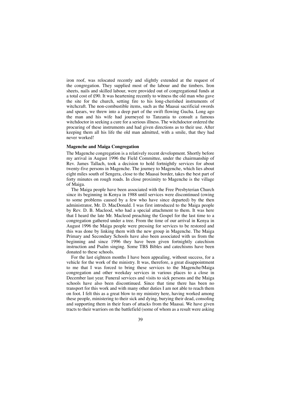iron roof, was relocated recently and slightly extended at the request of the congregation. They supplied most of the labour and the timbers. Iron sheets, nails and skilled labour, were provided out of congregational funds at a total cost of £90. It was heartening recently to witness the old man who gave the site for the church, setting fire to his long-cherished instruments of witchcraft. The non-combustible items, such as the Maasai sacrificial swords and spears, we threw into a deep part of the swift flowing Gucha. Long ago the man and his wife had journeyed to Tanzania to consult a famous witchdoctor in seeking a cure for a serious illness. The witchdoctor ordered the procuring of these instruments and had given directions as to their use. After keeping them all his life the old man admitted, with a smile, that they had never worked!

#### **Magenche and Maiga Congregation**

The Magenche congregation is a relatively recent development. Shortly before my arrival in August 1996 the Field Committee, under the chairmanship of Rev. James Tallach, took a decision to hold fortnightly services for about twenty-five persons in Magenche. The journey to Magenche, which lies about eight miles south of Sengera, close to the Maasai border, takes the best part of forty minutes on rough roads. In close proximity to Magenche is the village of Maiga.

The Maiga people have been associated with the Free Presbyterian Church since its beginning in Kenya in 1988 until services were discontinued (owing to some problems caused by a few who have since departed) by the then administrator, Mr. D. MacDonald. I was first introduced to the Maiga people by Rev. D. B. Macleod, who had a special attachment to them. It was here that I heard the late Mr. Macleod preaching the Gospel for the last time to a congregation gathered under a tree. From the time of our arrival in Kenya in August 1996 the Maiga people were pressing for services to be restored and this was done by linking them with the new group in Magenche. The Maiga Primary and Secondary Schools have also been associated with us from the beginning and since 1996 they have been given fortnightly catechism instruction and Psalm singing. Some TBS Bibles and catechisms have been donated to these schools.

For the last eighteen months I have been appealing, without success, for a vehicle for the work of the ministry. It was, therefore, a great disappointment to me that I was forced to bring these services to the Magenche/Maiga congregation and other weekday services in various places to a close in December last year. Funeral services and visits to sick persons and the Maiga schools have also been discontinued. Since that time there has been no transport for this work and with many other duties I am not able to reach them on foot. I felt this as a great blow to my ministry here, having worked among these people, ministering to their sick and dying, burying their dead, consoling and supporting them in their fears of attacks from the Maasai. We have given tracts to their warriors on the battlefield (some of whom as a result were asking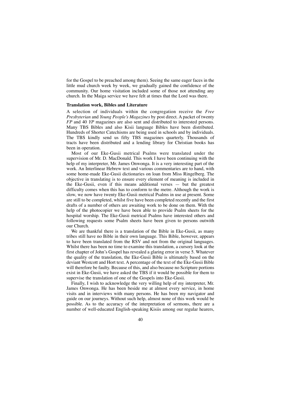for the Gospel to be preached among them). Seeing the same eager faces in the little mud church week by week, we gradually gained the confidence of the community. Our home visitation included some of those not attending any church. In the Maiga service we have felt at times that the Lord was there.

### **Translation work, Bibles and Literature**

A selection of individuals within the congregation receive the *Free Presbyterian* and *Young People's Magazines* by post direct. A packet of twenty *FP* and 40 *YP* magazines are also sent and distributed to interested persons. Many TBS Bibles and also Kisii language Bibles have been distributed. Hundreds of Shorter Catechisms are being used in schools and by individuals. The TBS kindly send us fifty TBS magazines quarterly. Thousands of tracts have been distributed and a lending library for Christian books has been in operation.

Most of our Eke-Gusii metrical Psalms were translated under the supervision of Mr. D. MacDonald. This work I have been continuing with the help of my interpreter, Mr. James Onwonga. It is a very interesting part of the work. An Interlinear Hebrew text and various commentaries are to hand, with some home-made Eke-Gusii dictionaries on loan from Miss Ringelberg. The objective in translating is to ensure every element of meaning is included in the Eke-Gusii, even if this means additional verses — but the greatest difficulty comes when this has to conform to the metre. Although the work is slow, we now have twenty Eke-Gusii metrical Psalms in use at present. Some are still to be completed, whilst five have been completed recently and the first drafts of a number of others are awaiting work to be done on them. With the help of the photocopier we have been able to provide Psalm sheets for the hospital worship. The Eke-Gusii metrical Psalms have interested others and following requests some Psalm sheets have been given to persons outwith our Church.

We are thankful there is a translation of the Bible in Eke-Gusii, as many tribes still have no Bible in their own language. This Bible, however, appears to have been translated from the RSV and not from the original languages. Whilst there has been no time to examine this translation, a cursory look at the first chapter of John's Gospel has revealed a glaring error in verse 5. Whatever the quality of the translation, the Eke-Gusii Bible is ultimately based on the deviant Westcott and Hort text. A percentage of the text of the Eke-Gusii Bible will therefore be faulty. Because of this, and also because no Scripture portions exist in Eke-Gusii, we have asked the TBS if it would be possible for them to supervise the translation of one of the Gospels into Eke-Gusii.

Finally, I wish to acknowledge the very willing help of my interpreter, Mr. James Onwonga. He has been beside me at almost every service, in home visits and in interviews with many persons. He has been my navigator and guide on our journeys. Without such help, almost none of this work would be possible. As to the accuracy of the interpretation of sermons, there are a number of well-educated English-speaking Kisiis among our regular hearers,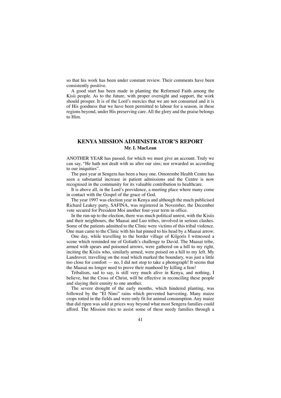so that his work has been under constant review. Their comments have been consistently positive.

A good start has been made in planting the Reformed Faith among the Kisii people. As to the future, with proper oversight and support, the work should prosper. It is of the Lord's mercies that we are not consumed and it is of His goodness that we have been permitted to labour for a season, in these regions beyond, under His preserving care. All the glory and the praise belongs to Him.

### **KENYA MISSION ADMINISTRATOR'S REPORT Mr. I. MacLean**

ANOTHER YEAR has passed, for which we must give an account. Truly we can say, "He hath not dealt with us after our sins; nor rewarded us according to our iniquities".

The past year at Sengera has been a busy one. Omorembe Health Centre has seen a substantial increase in patient admissions and the Centre is now recognised in the community for its valuable contribution to healthcare.

It is above all, in the Lord's providence, a meeting place where many come in contact with the Gospel of the grace of God.

The year 1997 was election year in Kenya and although the much publicised Richard Leakey party, SAFINA, was registered in November, the December vote secured for President Moi another four-year term in office.

In the run-up to the election, there was much political unrest, with the Kisiis and their neighbours, the Maasai and Luo tribes, involved in serious clashes. Some of the patients admitted to the Clinic were victims of this tribal violence. One man came to the Clinic with his hat pinned to his head by a Maasai arrow.

One day, while travelling to the border village of Kilgoris I witnessed a scene which reminded me of Goliath's challenge to David. The Maasai tribe, armed with spears and poisoned arrows, were gathered on a hill to my right, inciting the Kisiis who, similarly armed, were poised on a hill to my left. My Landrover, travelling on the road which marked the boundary, was just a little too close for comfort — no, I did not stop to take a photograph! It seems that the Maasai no longer need to prove their manhood by killing a lion!

Tribalism, sad to say, is still very much alive in Kenya, and nothing, I believe, but the Cross of Christ, will be effective in reconciling these people and slaying their enmity to one another.

The severe drought of the early months, which hindered planting, was followed by the "El Nino" rains which prevented harvesting. Many maize crops rotted in the fields and were only fit for animal consumption. Any maize that did ripen was sold at prices way beyond what most Sengera families could afford. The Mission tries to assist some of these needy families through a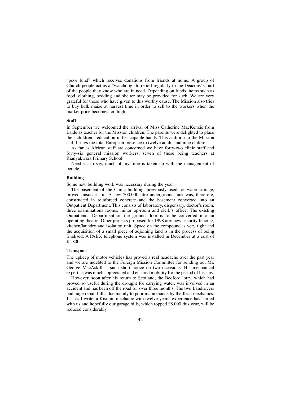"poor fund" which receives donations from friends at home. A group of Church people act as a "watchdog" to report regularly to the Deacons' Court of the people they know who are in need. Depending on funds, items such as food, clothing, bedding and shelter may be provided for such. We are very grateful for those who have given to this worthy cause. The Mission also tries to buy bulk maize at harvest time in order to sell to the workers when the market price becomes too high.

#### **Staff**

In September we welcomed the arrival of Miss Catherine MacKenzie from Laide as teacher for the Mission children. The parents were delighted to place their children's education in her capable hands. This addition to the Mission staff brings the total European presence to twelve adults and nine children.

As far as African staff are concerned we have forty-two clinic staff and forty-six general mission workers, seven of these being teachers at Rianyakwara Primary School.

Needless to say, much of my time is taken up with the management of people.

### **Building**

Some new building work was necessary during the year.

The basement of the Clinic building, previously used for water storage, proved unsuccessful. A new 200,000 litre underground tank was, therefore, constructed in reinforced concrete and the basement converted into an Outpatient Department. This consists of laboratory, dispensary, doctor's room, three examinations rooms, minor op-room and clerk's office. The existing Outpatients' Department on the ground floor is to be converted into an operating theatre. Other projects proposed for 1998 are: new security fencing, kitchen/laundry and isolation unit. Space on the compound is very tight and the acquisition of a small piece of adjoining land is in the process of being finalised. A PABX telephone system was installed in December at a cost of £1,800.

#### **Transport**

The upkeep of motor vehicles has proved a real headache over the past year and we are indebted to the Foreign Mission Committee for sending out Mr. George MacAskill at such short notice on two occasions. His mechanical expertise was much appreciated and ensured mobility for the period of his stay.

However, soon after his return to Scotland, the Bedford lorry, which had proved so useful during the drought for carrying water, was involved in an accident and has been off the road for over three months. The two Landrovers had huge repair bills, due mainly to poor maintenance by the Kisii mechanics. Just as I write, a Kisumu mechanic with twelve years' experience has started with us and hopefully our garage bills, which topped £8,000 this year, will be reduced considerably.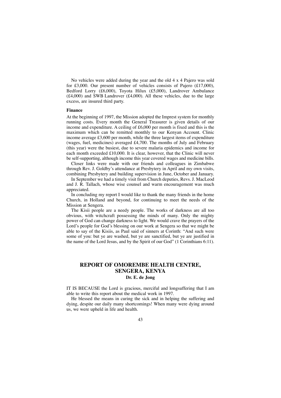No vehicles were added during the year and the old 4 x 4 Pajero was sold for £3,000. Our present number of vehicles consists of Pajero (£17,000), Bedford Lorry (£6,000), Toyota Hilux (£5,000), Landrover Ambulance (£4,000) and SWB Landrover (£4,000). All these vehicles, due to the large excess, are insured third party.

### **Finance**

At the beginning of 1997, the Mission adopted the Imprest system for monthly running costs. Every month the General Treasurer is given details of our income and expenditure. A ceiling of £6,000 per month is fixed and this is the maximum which can be remitted monthly to our Kenyan Account. Clinic income average £3,600 per month, while the three largest items of expenditure (wages, fuel, medicines) averaged £4,700. The months of July and February (this year) were the busiest, due to severe malaria epidemics and income for each month exceeded £10,000. It is clear, however, that the Clinic will never be self-supporting, although income this year covered wages and medicine bills.

Closer links were made with our friends and colleagues in Zimbabwe through Rev. J. Goldby's attendance at Presbytery in April and my own visits, combining Presbytery and building supervision in June, October and January.

In September we had a timely visit from Church deputies, Revs. J. MacLeod and J. R. Tallach, whose wise counsel and warm encouragement was much appreciated.

In concluding my report I would like to thank the many friends in the home Church, in Holland and beyond, for continuing to meet the needs of the Mission at Sengera.

The Kisii people are a needy people. The works of darkness are all too obvious, with witchcraft possessing the minds of many. Only the mighty power of God can change darkness to light. We would crave the prayers of the Lord's people for God's blessing on our work at Sengera so that we might be able to say of the Kisiis, as Paul said of sinners at Corinth: "And such were some of you: but ye are washed, but ye are sanctified, but ye are justified in the name of the Lord Jesus, and by the Spirit of our God" (1 Corinthians 6:11).

### **REPORT OF OMOREMBE HEALTH CENTRE, SENGERA, KENYA Dr. E. de Jong**

IT IS BECAUSE the Lord is gracious, merciful and longsuffering that I am able to write this report about the medical work in 1997.

He blessed the means in curing the sick and in helping the suffering and dying, despite our daily many shortcomings! When many were dying around us, we were upheld in life and health.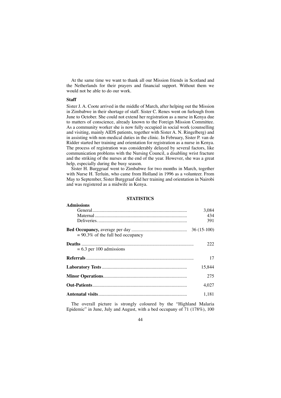At the same time we want to thank all our Mission friends in Scotland and the Netherlands for their prayers and financial support. Without them we would not be able to do our work.

### **Staff**

Sister J. A. Coote arrived in the middle of March, after helping out the Mission in Zimbabwe in their shortage of staff. Sister C. Renes went on furlough from June to October. She could not extend her registration as a nurse in Kenya due to matters of conscience, already known to the Foreign Mission Committee. As a community worker she is now fully occupied in social work (counselling and visiting, mainly AIDS patients, together with Sister A. N. Ringelberg) and in assisting with non-medical duties in the clinic. In February, Sister P. van de Ridder started her training and orientation for registration as a nurse in Kenya. The process of registration was considerably delayed by several factors, like communication problems with the Nursing Council, a disabling wrist fracture and the striking of the nurses at the end of the year. However, she was a great help, especially during the busy season.

Sister H. Burggraaf went to Zimbabwe for two months in March, together with Nurse H. Terluin, who came from Holland in 1996 as a volunteer. From May to September, Sister Burggraaf did her training and orientation in Nairobi and was registered as a midwife in Kenya.

### **STATISTICS**

| <b>Admissions</b>                    |        |
|--------------------------------------|--------|
|                                      | 3,084  |
|                                      | 434    |
|                                      | 391    |
| $= 90.3\%$ of the full bed occupancy |        |
| $= 6.3$ per 100 admissions           | 222    |
|                                      | 17     |
|                                      | 15.844 |
|                                      | 275    |
|                                      | 4.027  |
|                                      | 1.181  |

The overall picture is strongly coloured by the "Highland Malaria Epidemic" in June, July and August, with a bed occupany of 71 (178%), 100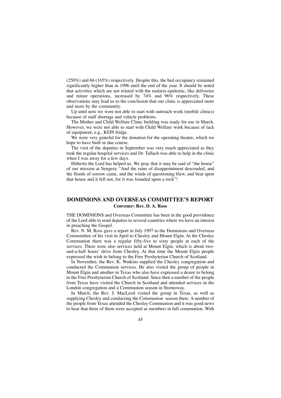(250%) and 66 (165%) respectively. Despite this, the bed occupancy remained significantly higher than in 1996 until the end of the year. It should be noted that activities which are not related with the malaria epidemic, like deliveries and minor operations, increased by  $74\%$  and  $96\%$  respectively. These observations may lead us to the conclusion that our clinic is appreciated more and more by the community.

Up until now we were not able to start with outreach work (mobile clinics) because of staff shortage and vehicle problems.

The Mother and Child Welfare Clinic building was ready for use in March. However, we were not able to start with Child Welfare work because of lack of equipment; e.g., KEPI fridge.

We were very grateful for the donation for the operating theatre, which we hope to have built in due course.

The visit of the deputies in September was very much appreciated as they took the regular hospital services and Dr. Tallach was able to help in the clinic when I was away for a few days.

Hitherto the Lord has helped us. We pray that it may be said of "the house" of our mission at Sengera: "And the rains of disappointment descended, and the floods of sorrow came, and the winds of questioning blew, and beat upon that house and it fell not, for it was founded upon a rock"!

### **DOMINIONS AND OVERSEAS COMMITTEE'S REPORT Convener: Rev. D. A. Ross**

THE DOMINIONS and Overseas Committee has been in the good providence of the Lord able to send deputies to several countries where we have an interest in preaching the Gospel.

Rev. N. M. Ross gave a report in July 1997 to the Dominions and Overseas Commmittee of his visit in April to Chesley and Mount Elgin. At the Chesley Communion there was a regular fifty-five to sixty people at each of the services. There were also services held at Mount Elgin, which is about twoand-a-half hours' drive from Chesley. At that time the Mount Elgin people expressed the wish to belong to the Free Presbyterian Church of Scotland.

In November, the Rev. K. Watkins supplied the Chesley congregation and conducted the Communion services. He also visited the group of people in Mount Elgin and another in Texas who also have expressed a desire to belong to the Free Presbyterian Church of Scotland. Since then a number of the people from Texas have visited the Church in Scotland and attended services in the London congregation and a Communion season in Stornoway.

In March, the Rev. J. MacLeod visited the group in Texas, as well as supplying Chesley and conducting the Communion season there. A number of the people from Texas attended the Chesley Communion and it was good news to hear that three of them were accepted as members in full communion. With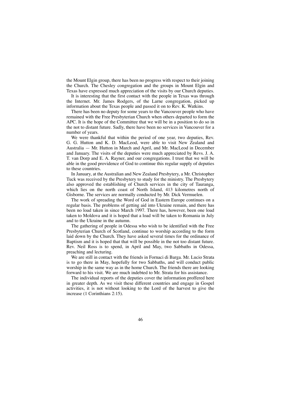the Mount Elgin group, there has been no progress with respect to their joining the Church. The Chesley congregation and the groups in Mount Elgin and Texas have expressed much appreciation of the visits by our Church deputies.

It is interesting that the first contact with the people in Texas was through the Internet. Mr. James Rodgers, of the Larne congregation, picked up information about the Texas people and passed it on to Rev. K. Watkins.

There has been no deputy for some years to the Vancouver people who have remained with the Free Presbyterian Church when others departed to form the APC. It is the hope of the Committee that we will be in a position to do so in the not to distant future. Sadly, there have been no services in Vancouver for a number of years.

We were thankful that within the period of one year, two deputies, Rev. G. G. Hutton and K. D. MacLeod, were able to visit New Zealand and Australia — Mr. Hutton in March and April, and Mr. MacLeod in December and January. The visits of the deputies were much appreciated by Revs. J. A. T. van Dorp and E. A. Rayner, and our congregations. I trust that we will be able in the good providence of God to continue this regular supply of deputies to these countries.

In January, at the Australian and New Zealand Presbytery, a Mr. Christopher Tuck was received by the Presbytery to study for the ministry. The Presbytery also approved the establishing of Church services in the city of Tauranga, which lies on the north coast of North Island, 413 kilometres north of Gisborne. The services are normally conducted by Mr. Dick Vermuelen.

The work of spreading the Word of God in Eastern Europe continues on a regular basis. The problems of getting aid into Ukraine remain, and there has been no load taken in since March 1997. There has, however, been one load taken to Moldova and it is hoped that a load will be taken to Romania in July and to the Ukraine in the autumn.

The gathering of people in Odessa who wish to be identified with the Free Presbyterian Church of Scotland, continue to worship according to the form laid down by the Church. They have asked several times for the ordinance of Baptism and it is hoped that that will be possible in the not too distant future. Rev. Neil Ross is to spend, in April and May, two Sabbaths in Odessa, preaching and lecturing.

We are still in contact with the friends in Fornaci di Barga. Mr. Lucio Strata is to go there in May, hopefully for two Sabbaths, and will conduct public worship in the same way as in the home Church. The friends there are looking forward to his visit. We are much indebted to Mr. Strata for his assistance.

The individual reports of the deputies cover the information proffered here in greater depth. As we visit these different countries and engage in Gospel activities, it is not without looking to the Lord of the harvest to give the increase (1 Corinthians 2:15).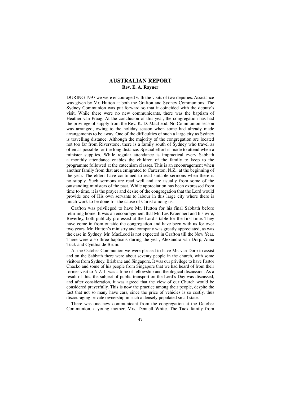### **AUSTRALIAN REPORT Rev. E. A. Rayner**

DURING 1997 we were encouraged with the visits of two deputies. Assistance was given by Mr. Hutton at both the Grafton and Sydney Communions. The Sydney Communion was put forward so that it coincided with the deputy's visit. While there were no new communicants, there was the baptism of Heather van Praag. At the conclusion of this year, the congregation has had the privilege of supply from the Rev. K. D. MacLeod. No Communion season was arranged, owing to the holiday season when some had already made arrangements to be away. One of the difficulties of such a large city as Sydney is travelling distance. Although the majority of the congregation are located not too far from Riverstone, there is a family south of Sydney who travel as often as possible for the long distance. Special effort is made to attend when a minister supplies. While regular attendance is impractical every Sabbath a monthly attendance enables the children of the family to keep to the programme followed at the catechism classes. This is an encouragement when another family from that area emigrated to Carterton, N.Z., at the beginning of the year. The elders have continued to read suitable sermons when there is no supply. Such sermons are read well and are usually from some of the outstanding ministers of the past. While appreciation has been expressed from time to time, it is the prayer and desire of the congregation that the Lord would provide one of His own servants to labour in this large city where there is much work to be done for the cause of Christ among us.

Grafton was privileged to have Mr. Hutton for his final Sabbath before returning home. It was an encouragement that Mr. Les Kroenhert and his wife, Beverley, both publicly professed at the Lord's table for the first time. They have come in from outside the congregation and have been with us for over two years. Mr. Hutton's ministry and company was greatly appreciated, as was the case in Sydney. Mr. MacLeod is not expected in Grafton till the New Year. There were also three baptisms during the year, Alexandra van Dorp, Anna Tuck and Cynthia de Bruin.

At the October Communion we were pleased to have Mr. van Dorp to assist and on the Sabbath there were about seventy people in the church, with some visitors from Sydney, Brisbane and Singapore. It was our privilege to have Pastor Chacko and some of his people from Singapore that we had heard of from their former visit to N.Z. It was a time of fellowship and theological discussion. As a result of this, the subject of public transport on the Lord's Day was discussed, and after consideration, it was agreed that the view of our Church would be considered prayerfully. This is now the practice among their people, despite the fact that not so many have cars, since the price of vehicles is so costly, thus discouraging private ownership in such a densely populated small state.

There was one new communicant from the congregation at the October Communion, a young mother, Mrs. Dennell White. The Tuck family from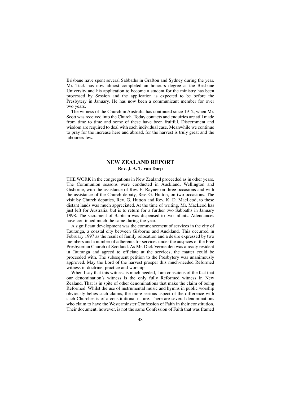Brisbane have spent several Sabbaths in Grafton and Sydney during the year. Mr. Tuck has now almost completed an honours degree at the Brisbane University and his application to become a student for the ministry has been processed by Session and the application is expected to be before the Presbytery in January. He has now been a communicant member for over two years.

The witness of the Church in Australia has continued since 1912, when Mr. Scott was received into the Church. Today contacts and enquiries are still made from time to time and some of these have been fruitful. Discernment and wisdom are required to deal with each individual case. Meanwhile we continue to pray for the increase here and abroad, for the harvest is truly great and the labourers few.

### **NEW ZEALAND REPORT Rev. J. A. T. van Dorp**

THE WORK in the congregations in New Zealand proceeded as in other years. The Communion seasons were conducted in Auckland, Wellington and Gisborne, with the assistance of Rev. E. Rayner on three occasions and with the assistance of the Church deputy, Rev. G. Hutton, on two occasions. The visit by Church deputies, Rev. G. Hutton and Rev. K. D. MacLeod, to these distant lands was much appreciated. At the time of writing, Mr. MacLeod has just left for Australia, but is to return for a further two Sabbaths in January 1998. The sacrament of Baptism was dispensed to two infants. Attendances have continued much the same during the year.

A significant development was the commencement of services in the city of Tauranga, a coastal city between Gisborne and Auckland. This occurred in February 1997 as the result of family relocation and a desire expressed by two members and a number of adherents for services under the auspices of the Free Presbyterian Church of Scotland. As Mr. Dick Vermeulen was already resident in Tauranga and agreed to officiate at the services, the matter could be proceeded with. The subsequent petition to the Presbytery was unanimously approved. May the Lord of the harvest prosper this much-needed Reformed witness in doctrine, practice and worship.

When I say that this witness is much needed, I am conscious of the fact that our denomination's witness is the only fully Reformed witness in New Zealand. That is in spite of other denominations that make the claim of being Reformed. Whilst the use of instrumental music and hymns in public worship obviously belies such claims, the more serious aspect of the difference with such Churches is of a constitutional nature. There are several denominations who claim to have the Westerminster Confession of Faith in their constitution. Their document, however, is not the same Confession of Faith that was framed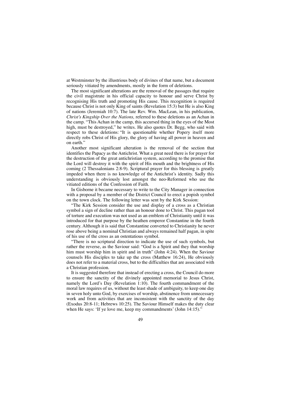at Westminster by the illustrious body of divines of that name, but a document seriously vitiated by amendments, mostly in the form of deletions.

The most significant alterations are the removal of the passages that require the civil magistrate in his official capacity to honour and serve Christ by recognising His truth and promoting His cause. This recognition is required because Christ is not only King of saints (Revelation 15:3) but He is also King of nations (Jeremiah 10:7). The late Rev. Wm. MacLean, in his publication, *Christ's Kingship Over the Nations,* referred to these deletions as an Achan in the camp. "This Achan in the camp, this accursed thing in the eyes of the Most high, must be destroyed," he writes. He also quotes Dr. Begg, who said with respect to these deletions: "It is questionable whether Popery itself more directly robs Christ of His glory, the glory of having all power in heaven and on earth."

Another most significant alteration is the removal of the section that identifies the Papacy as the Antichrist. What a great need there is for prayer for the destruction of the great antichristian system, according to the promise that the Lord will destroy it with the spirit of His mouth and the brightness of His coming (2 Thessalonians 2:8-9). Scriptural prayer for this blessing is greatly impeded when there is no knowledge of the Antichrist's identity. Sadly this understanding is obviously lost amongst the neo-Reformed who use the vitiated editions of the Confession of Faith.

In Gisborne it became necessary to write to the City Manager in connection with a proposal by a member of the District Council to erect a popish symbol on the town clock. The following letter was sent by the Kirk Session:

"The Kirk Session consider the use and display of a cross as a Christian symbol a sign of decline rather than an honour done to Christ. This pagan tool of torture and execution was not used as an emblem of Christianity until it was introduced for that purpose by the heathen emperor Constantine in the fourth century. Although it is said that Constantine converted to Christianity he never rose above being a nominal Christian and always remained half pagan, in spite of his use of the cross as an ostentatious symbol.

"There is no scriptural direction to indicate the use of such symbols, but rather the reverse, as the Saviour said: "God is a Spirit and they that worship him must worship him in spirit and in truth" (John 4:24). When the Saviour counsels His disciples to take up the cross (Matthew 16:24), He obviously does not refer to a material cross, but to the difficulties that are associated with a Christian profession.

It is suggested therefore that instead of erecting a cross, the Council do more to ensure the sanctity of the divinely appointed memorial to Jesus Christ, namely the Lord's Day (Revelation 1:10). The fourth commandment of the moral law requires of us, without the least shade of ambiguity, to keep one day in seven holy unto God, by exercises of worship, abstinence from unnecessary work and from activities that are inconsistent with the sanctity of the day (Exodus 20:8-11; Hebrews 10:25). The Saviour Himself makes the duty clear when He says: 'If ye love me, keep my commandments' (John 14:15)."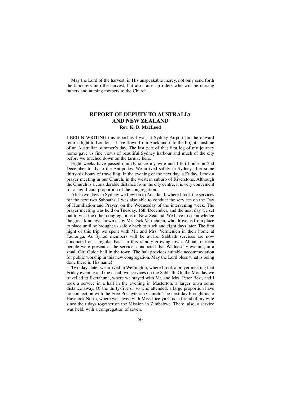May the Lord of the harvest, in His unspeakable mercy, not only send forth the labourers into the harvest, but also raise up rulers who will be nursing fathers and nursing mothers to the Church.

### **REPORT OF DEPUTY TO AUSTRALIA AND NEW ZEALAND Rev. K. D. MacLeod**

I BEGIN WRITING this report as I wait at Sydney Airport for the onward return flight to London. I have flown from Auckland into the bright sunshine of an Australian summer's day. The last part of that first leg of my journey home gave us fine views of beautiful Sydney harbour and much of the city before we touched down on the tarmac here.

Eight weeks have passed quickly since my wife and I left home on 2nd December to fly to the Antipodes. We arrived safely in Sydney after some thirty-six hours of travelling. In the evening of the next day, a Friday, I took a prayer meeting in our Church, in the western suburb of Riverstone. Although the Church is a considerable distance from the city centre, it is very convenient for a significant proportion of the congregation.

After two days in Sydney we flew on to Auckland, where I took the services for the next two Sabbaths. I was also able to conduct the services on the Day of Humiliation and Prayer, on the Wednesday of the intervening week. The prayer meeting was held on Tuesday, 16th December, and the next day we set out to visit the other congregations in New Zealand. We have to acknowledge the great kindness shown us by Mr. Dick Vermeulen, who drove us from place to place until he brought us safely back to Auckland eight days later. The first night of this trip we spent with Mr. and Mrs. Vermeulen in their home at Tauranga. As Synod members will be aware, Sabbath services are now conducted on a regular basis in this rapidly-growing town. About fourteen people were present at the service, conducted that Wednesday evening in a small Girl Guide hall in the town. The hall provides suitable accommodation for public worship in this new congregation. May the Lord bless what is being done there in His name!

Two days later we arrived in Wellington, where I took a prayer meeting that Friday evening and the usual two services on the Sabbath. On the Monday we travelled to Eketahuna, where we stayed with Mr. and Mrs. Peter Best, and I took a service in a hall in the evening in Masterton, a larger town some distance away. Of the thirty-five or so who attended, a large proportion have no connection with the Free Presbyterian Church. The next day brought us to Havelock North, where we stayed with Miss Jocelyn Cox, a friend of my wife since their days together on the Mission in Zimbabwe. There, also, a service was held, with a congregation of seven.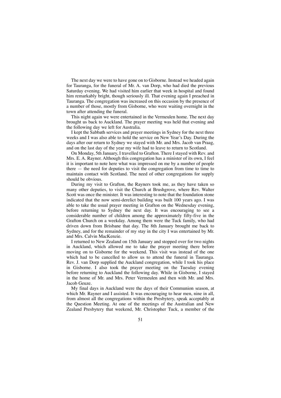The next day we were to have gone on to Gisborne. Instead we headed again for Tauranga, for the funeral of Mr. A. van Dorp, who had died the previous Saturday evening. We had visited him earlier that week in hospital and found him remarkably bright, though seriously ill. That evening again I preached in Tauranga. The congregation was increased on this occasion by the presence of a number of those, mostly from Gisborne, who were waiting overnight in the town after attending the funeral.

This night again we were entertained in the Vermeulen home. The next day brought us back to Auckland. The prayer meeting was held that evening and the following day we left for Australia.

I kept the Sabbath services and prayer meetings in Sydney for the next three weeks and I was also able to hold the service on New Year's Day. During the days after our return to Sydney we stayed with Mr. and Mrs. Jacob van Praag, and on the last day of the year my wife had to leave to return to Scotland.

On Monday, 5th January, I travelled to Grafton. There I stayed with Rev. and Mrs. E. A. Rayner. Although this congregation has a minister of its own, I feel it is important to note here what was impressed on me by a number of people there — the need for deputies to visit the congregation from time to time to maintain contact with Scotland. The need of other congregations for supply should be obvious.

During my visit to Grafton, the Rayners took me, as they have taken so many other deputies, to visit the Church at Brushgrove, where Rev. Walter Scott was once the minister. It was interesting to note that the foundation stone indicated that the now semi-derelict building was built 100 years ago. I was able to take the usual prayer meeting in Grafton on the Wednesday evening, before returning to Sydney the next day. It was encouraging to see a considerable number of children among the approximately fifty-five in the Grafton Church on a weekday. Among them were the Tuck family, who had driven down from Brisbane that day. The 8th January brought me back to Sydney, and for the remainder of my stay in the city I was entertained by Mr. and Mrs. Calvin MacKenzie.

I returned to New Zealand on 15th January and stopped over for two nights in Auckland, which allowed me to take the prayer meeting there before moving on to Gisborne for the weekend. This visit was instead of the one which had to be cancelled to allow us to attend the funeral in Tauranga. Rev. J. van Dorp supplied the Auckland congregation, while I took his place in Gisborne. I also took the prayer meeting on the Tuesday evening before returning to Auckland the following day. While in Gisborne, I stayed in the home of Mr. and Mrs. Peter Vermeulen and then with Mr. and Mrs. Jacob Geuze.

My final days in Auckland were the days of their Communion season, at which Mr. Rayner and I assisted. It was encouraging to hear men, nine in all, from almost all the congregations within the Presbytery, speak acceptably at the Question Meeting. At one of the meetings of the Australian and New Zealand Presbytery that weekend, Mr. Christopher Tuck, a member of the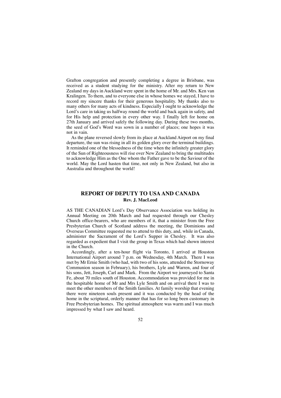Grafton congregation and presently completing a degree in Brisbane, was received as a student studying for the ministry. After my return to New Zealand my days in Auckland were spent in the home of Mr. and Mrs. Ken van Kralingen. To them, and to everyone else in whose homes we stayed, I have to record my sincere thanks for their generous hospitality. My thanks also to many others for many acts of kindness. Especially I ought to acknowledge the Lord's care in taking us halfway round the world and back again in safety, and for His help and protection in every other way. I finally left for home on 27th January and arrived safely the following day. During these two months, the seed of God's Word was sown in a number of places; one hopes it was not in vain.

As the plane reversed slowly from its place at Auckland Airport on my final departure, the sun was rising in all its golden glory over the terminal buildings. It reminded one of the blessedness of the time when the infinitely greater glory of the Sun of Righteousness will rise over New Zealand to bring the multitudes to acknowledge Him as the One whom the Father gave to be the Saviour of the world. May the Lord hasten that time, not only in New Zealand, but also in Australia and throughout the world!

### **REPORT OF DEPUTY TO USA AND CANADA Rev. J. MacLeod**

AS THE CANADIAN Lord's Day Observance Association was holding its Annual Meeting on 20th March and had requested through our Chesley Church office-bearers, who are members of it, that a minister from the Free Presbyterian Church of Scotland address the meeting, the Dominions and Overseas Committee requested me to attend to this duty, and, while in Canada, administer the Sacrament of the Lord's Supper in Chesley. It was also regarded as expedient that I visit the group in Texas which had shown interest in the Church.

Accordingly, after a ten-hour flight via Toronto, I arrived at Houston International Airport around 7 p.m. on Wednesday, 4th March. There I was met by Mr Ernie Smith (who had, with two of his sons, attended the Stornoway Communion season in February), his brothers, Lyle and Warren, and four of his sons, Jett, Joseph, Carl and Mark. From the Airport we journeyed to Santa Fe, about 70 miles south of Houston. Accommodation was provided for me in the hospitable home of Mr and Mrs Lyle Smith and on arrival there I was to meet the other members of the Smith families. At family worship that evening there were nineteen souls present and it was conducted by the head of the home in the scriptural, orderly manner that has for so long been customary in Free Presbyterian homes. The spiritual atmosphere was warm and I was much impressed by what I saw and heard.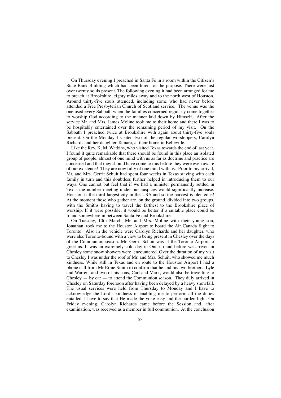On Thursday evening I preached in Santa Fe in a room within the Citizen's State Bank Building which had been hired for the purpose. There were just over twenty souls present. The following evening it had been arranged for me to preach at Brookshire, eighty miles away and to the north west of Houston. Around thirty-five souls attended, including some who had never before attended a Free Presbyterian Church of Scotland service. The venue was the one used every Sabbath when the families concerned regularly come together to worship God according to the manner laid down by Himself. After the service Mr. and Mrs. James Moline took me to their home and there I was to be hospitably entertained over the remaining period of my visit. On the Sabbath I preached twice at Brookshire with again about thirty-five souls present. On the Monday I visited two of the regular worshippers, Carolyn Richards and her daughter Tamara, at their home in Belleville.

Like the Rev. K. M. Watkins, who visited Texas towards the end of last year, I found it quite remarkable that there should be found in this place an isolated group of people, almost of one mind with us as far as doctrine and practice are concerned and that they should have come to this before they were even aware of our existence! They are now fully of one mind with us. Prior to my arrival, Mr. and Mrs. Gerrit Schuit had spent four weeks in Texas staying with each family in turn and this doubtless further helped in introducing them to our ways. One cannot but feel that if we had a minister permanently settled in Texas the number meeting under our auspices would significantly increase. Houston is the third largest city in the USA and so the harvest is plenteous! At the moment those who gather are, on the ground, divided into two groups, with the Smiths having to travel the farthest to the Brookshire place of worship. If it were possible, it would be better if a suitable place could be found somewhere in between Santa Fe and Brookshire.

On Tuesday, 10th March, Mr. and Mrs. Moline with their young son, Jonathan, took me to the Houston Airport to board the Air Canada flight to Toronto. Also in the vehicle were Carolyn Richards and her daughter, who were also Toronto-bound with a view to being present in Chesley over the days of the Communion season. Mr. Gerrit Schuit was at the Toronto Airport to greet us. It was an extremely cold day in Ontario and before we arrived in Chesley some snow showers were encountered. Over the duration of my visit to Chesley I was under the roof of Mr. and Mrs. Schuit, who showed me much kindness. While still in Texas and en route to the Houston Airport I had a phone call from Mr Ernie Smith to confirm that he and his two brothers, Lyle and Warren, and two of his sons, Carl and Mark, would also be travelling to Chesley  $-$  by car  $-$  to attend the Communion season. They duly arrived in Chesley on Saturday forenoon after having been delayed by a heavy snowfall. The usual services were held from Thursday to Monday and I have to acknowledge the Lord's kindness in enabling me to perform all the duties entailed. I have to say that He made the yoke easy and the burden light. On Friday evening, Carolyn Richards came before the Session and, after examination, was received as a member in full communion. At the conclusion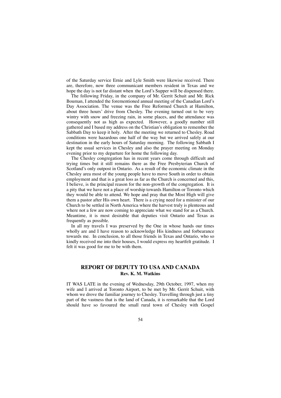of the Saturday service Ernie and Lyle Smith were likewise received. There are, therefore, now three communicant members resident in Texas and we hope the day is not far distant when the Lord's Supper will be dispensed there.

The following Friday, in the company of Mr. Gerrit Schuit and Mr. Rick Bouman, I attended the forementioned annual meeting of the Canadian Lord's Day Association. The venue was the Free Reformed Church at Hamilton, about three hours' drive from Chesley. The evening turned out to be very wintry with snow and freezing rain, in some places, and the attendance was consequently not as high as expected. However, a goodly number still gathered and I based my address on the Christian's obligation to remember the Sabbath Day to keep it holy. After the meeting we returned to Chesley. Road conditions were hazardous one half of the way but we arrived safely at our destination in the early hours of Saturday morning. The following Sabbath I kept the usual services in Chesley and also the prayer meeting on Monday evening prior to my departure for home the following day.

The Chesley congregation has in recent years come through difficult and trying times but it still remains there as the Free Presbyterian Church of Scotland's only outpost in Ontario. As a result of the economic climate in the Chesley area most of the young people have to move South in order to obtain employment and that is a great loss as far as the Church is concerned and this, I believe, is the principal reason for the non-growth of the congregation. It is a pity that we have not a place of worship towards Hamilton or Toronto which they would be able to attend. We hope and pray that the Most High will give them a pastor after His own heart. There is a crying need for a minister of our Church to be settled in North America where the harvest truly is plenteous and where not a few are now coming to appreciate what we stand for as a Church. Meantime, it is most desirable that deputies visit Ontario and Texas as frequently as possible.

In all my travels I was preserved by the One in whose hands our times wholly are and I have reason to acknowledge His kindness and forbearance towards me. In conclusion, to all those friends in Texas and Ontario, who so kindly received me into their houses, I would express my heartfelt gratitude. I felt it was good for me to be with them.

### **REPORT OF DEPUTY TO USA AND CANADA Rev. K. M. Watkins**

IT WAS LATE in the evening of Wednesday, 29th October, 1997, when my wife and I arrived at Toronto Airport, to be met by Mr. Gerrit Schuit, with whom we drove the familiar journey to Chesley. Travelling through just a tiny part of the vastness that is the land of Canada, it is remarkable that the Lord should have so favoured the small rural town of Chesley with Gospel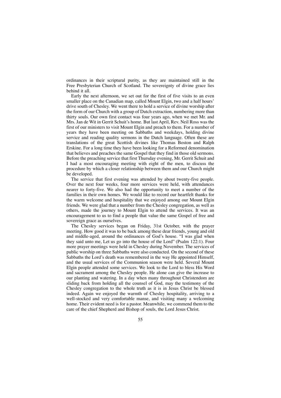ordinances in their scriptural purity, as they are maintained still in the Free Presbyterian Church of Scotland. The sovereignty of divine grace lies behind it all.

Early the next afternoon, we set out for the first of five visits to an even smaller place on the Canadian map, called Mount Elgin, two and a half hours' drive south of Chesley. We went there to hold a service of divine worship after the form of our Church with a group of Dutch extraction, numbering more than thirty souls. Our own first contact was four years ago, when we met Mr. and Mrs. Jan de Wit in Gerrit Schuit's home. But last April, Rev. Neil Ross was the first of our ministers to visit Mount Elgin and preach to them. For a number of years they have been meeting on Sabbaths and weekdays, holding divine service and reading quality sermons in the Dutch language. Often these are translations of the great Scottish divines like Thomas Boston and Ralph Erskine. For a long time they have been looking for a Reformed denomination that believes and preaches the same Gospel that they find in those old sermons. Before the preaching service that first Thursday evening, Mr. Gerrit Schuit and I had a most encouraging meeting with eight of the men, to discuss the procedure by which a closer relationship between them and our Church might be developed.

The service that first evening was attended by about twenty-five people. Over the next four weeks, four more services were held, with attendances nearer to forty-five. We also had the opportunity to meet a number of the families in their own homes. We would like to record our heartfelt thanks for the warm welcome and hospitality that we enjoyed among our Mount Elgin friends. We were glad that a number from the Chesley congregation, as well as others, made the journey to Mount Elgin to attend the services. It was an encouragement to us to find a people that value the same Gospel of free and sovereign grace as ourselves.

The Chesley services began on Friday, 31st October, with the prayer meeting. How good it was to be back among these dear friends, young and old and middle-aged, around the ordinances of God's house. "I was glad when they said unto me, Let us go into the house of the Lord" (Psalm 122:1). Four more prayer meetings were held in Chesley during November. The services of public worship on three Sabbaths were also conducted. On the second of these Sabbaths the Lord's death was remembered in the way He appointed Himself, and the usual services of the Communion season were held. Several Mount Elgin people attended some services. We look to the Lord to bless His Word and sacrament among the Chesley people. He alone can give the increase to our planting and watering. In a day when many throughout Christendom are sliding back from holding all the counsel of God, may the testimony of the Chesley congregation to the whole truth as it is in Jesus Christ be blessed indeed. Again we enjoyed the warmth of Chesley hospitality, arriving to a well-stocked and very comfortable manse, and visiting many a welcoming home. Their evident need is for a pastor. Meanwhile, we commend them to the care of the chief Shepherd and Bishop of souls, the Lord Jesus Christ.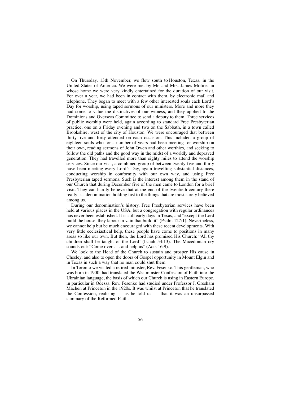On Thursday, 13th November, we flew south to Houston, Texas, in the United States of America. We were met by Mr. and Mrs. James Moline, in whose home we were very kindly entertained for the duration of our visit. For over a year, we had been in contact with them, by electronic mail and telephone. They began to meet with a few other interested souls each Lord's Day for worship, using taped sermons of our ministers. More and more they had come to value the distinctives of our witness, and they applied to the Dominions and Overseas Committee to send a deputy to them. Three services of public worship were held, again according to standard Free Presbyterian practice, one on a Friday evening and two on the Sabbath, in a town called Brookshire, west of the city of Houston. We were encouraged that between thirty-five and forty attended on each occasion. This included a group of eighteen souls who for a number of years had been meeting for worship on their own, reading sermons of John Owen and other worthies, and seeking to follow the old paths and the good way in the midst of a worldly and depraved generation. They had travelled more than eighty miles to attend the worship services. Since our visit, a combined group of between twenty-five and thirty have been meeting every Lord's Day, again travelling substantial distances, conducting worship in conformity with our own way, and using Free Presbyterian taped sermons. Such is the interest among them in the stand of our Church that during December five of the men came to London for a brief visit. They can hardly believe that at the end of the twentieth century there really is a denomination holding fast to the things that are most surely believed among us.

During our denomination's history, Free Presbyterian services have been held at various places in the USA, but a congregation with regular ordinances has never been established. It is still early days in Texas, and "except the Lord build the house, they labour in vain that build it" (Psalm 127:1). Nevertheless, we cannot help but be much encouraged with these recent developments. With very little ecclesiastical help, these people have come to positions in many areas so like our own. But then, the Lord has promised His Church: "All thy children shall be taught of the Lord" (Isaiah 54:13). The Macedonian cry sounds out: "Come over . . . and help us" (Acts 16:9).

We look to the Head of the Church to sustain and prosper His cause in Chesley, and also to open the doors of Gospel opportunity in Mount Elgin and in Texas in such a way that no man could shut them.

In Toronto we visited a retired minister, Rev. Fesenko. This gentleman, who was born in 1900, had translated the Westminster Confession of Faith into the Ukrainian language, the basis of which our Church is using in Eastern Europe, in particular in Odessa. Rev. Fesenko had studied under Professor J. Gresham Machen at Princeton in the 1920s. It was whilst at Princeton that he translated the Confession, realising  $-$  as he told us  $-$  that it was an unsurpassed summary of the Reformed Faith.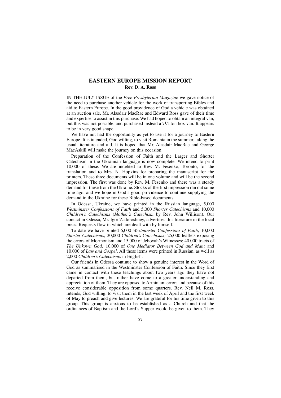### **EASTERN EUROPE MISSION REPORT Rev. D. A. Ross**

IN THE JULY ISSUE of the *Free Presbyterian Magazine* we gave notice of the need to purchase another vehicle for the work of transporting Bibles and aid to Eastern Europe. In the good providence of God a vehicle was obtained at an auction sale. Mr. Alasdair MacRae and Edward Ross gave of their time and expertise to assist in this purchase. We had hoped to obtain an integral van, but this was not possible, and purchased instead a  $7^{1/2}$  ton box van. It appears to be in very good shape.

We have not had the opportunity as yet to use it for a journey to Eastern Europe. It is intended, God willing, to visit Romania in the summer, taking the usual literature and aid. It is hoped that Mr. Alasdair MacRae and George MacAskill will make the journey on this occasion.

Preparation of the Confession of Faith and the Larger and Shorter Catechism in the Ukrainian language is now complete. We intend to print 10,000 of these. We are indebted to Rev. M. Fesenko, Toronto, for the translation and to Mrs. N. Hopkins for preparing the manuscript for the printers. These three documents will be in one volume and will be the second impression. The first was done by Rev. M. Fesenko and there was a steady demand for these from the Ukraine. Stocks of the first impression ran out some time ago, and we hope in God's good providence to continue supplying the demand in the Ukraine for these Bible-based documents.

In Odessa, Ukraine, we have printed in the Russian language, 5,000 *Westminster Confessions of Faith* and 5,000 *Shorter Catechisms* and 10,000 *Children's Catechisms* (*Mother's Catechism* by Rev. John Willison). Our contact in Odessa, Mr. Igor Zadoroshney, advertises this literature in the local press. Requests flow in which are dealt with by himself.

To date we have printed 6,000 *Westminster Confessions of Faith;* 10,000 *Shorter Catechisms;* 30,000 *Children's Catechisms;* 25,000 leaflets exposing the errors of Mormonism and 15,000 of Jehovah's Witnesses; 40,000 tracts of *The Unkown God;* 10,000 of *One Mediator Between God and Man;* and 10,000 of *Law and Gospel.* All these items were printed in Russian, as well as 2,000 *Children's Catechisms* in English.

Our friends in Odessa continue to show a genuine interest in the Word of God as summarised in the Westminster Confession of Faith. Since they first came in contact with these teachings about two years ago they have not departed from them, but rather have come to a greater understanding and appreciation of them. They are opposed to Arminiam errors and because of this receive considerable opposition from some quarters. Rev. Neil M. Ross, intends, God willing, to visit them in the last week of April and the first week of May to preach and give lectures. We are grateful for his time given to this group. This group is anxious to be established as a Church and that the ordinances of Baptism and the Lord's Supper would be given to them. They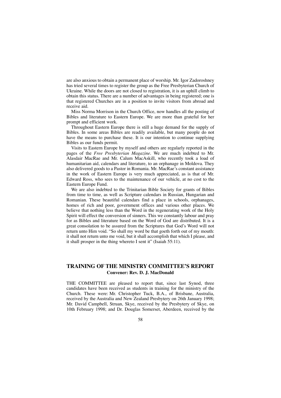are also anxious to obtain a permanent place of worship. Mr. Igor Zadoroshney has tried several times to register the group as the Free Presbyterian Church of Ukraine. While the doors are not closed to registration, it is an uphill climb to obtain this status. There are a number of advantages in being registered; one is that registered Churches are in a position to invite visitors from abroad and receive aid.

Miss Norma Morrison in the Church Office, now handles all the posting of Bibles and literature to Eastern Europe. We are more than grateful for her prompt and efficient work.

Throughout Eastern Europe there is still a huge demand for the supply of Bibles. In some areas Bibles are readily available, but many people do not have the means to purchase these. It is our intention to continue supplying Bibles as our funds permit.

Visits to Eastern Europe by myself and others are regularly reported in the pages of the *Free Presbyterian Magazine.* We are much indebted to Mr. Alasdair MacRae and Mr. Calum MacAskill, who recently took a load of humanitarian aid, calendars and literature, to an orphanage in Moldova. They also delivered goods to a Pastor in Romania. Mr. MacRae's constant assistance in the work of Eastern Europe is very much appreciated, as is that of Mr. Edward Ross, who sees to the maintenance of our vehicle, at no cost to the Eastern Europe Fund.

We are also indebted to the Trinitarian Bible Society for grants of Bibles from time to time, as well as Scripture calendars in Russian, Hungarian and Romanian. These beautiful calendars find a place in schools, orphanages, homes of rich and poor, government offices and various other places. We believe that nothing less than the Word in the regenerating work of the Holy Spirit will effect the conversion of sinners. This we constantly labour and pray for as Bibles and literature based on the Word of God are distributed. It is a great consolation to be assured from the Scriptures that God's Word will not return unto Him void. "So shall my word be that goeth forth out of my mouth: it shall not return unto me void, but it shall accomplish that which I please, and it shall prosper in the thing whereto I sent it" (Isaiah 55:11).

### **TRAINING OF THE MINISTRY COMMITTEE'S REPORT Convener: Rev. D. J. MacDonald**

THE COMMITTEE are pleased to report that, since last Synod, three candidates have been received as students in training for the ministry of the Church. These were: Mr. Christopher Tuck, B.A., of Brisbane, Australia, received by the Australia and New Zealand Presbytery on 26th January 1998; Mr. David Campbell, Struan, Skye, received by the Presbytery of Skye, on 10th February 1998; and Dr. Douglas Somerset, Aberdeen, received by the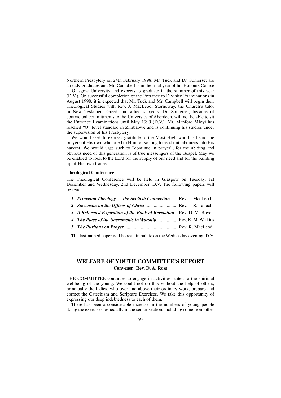Northern Presbytery on 24th February 1998. Mr. Tuck and Dr. Somerset are already graduates and Mr. Campbell is in the final year of his Honours Course at Glasgow University and expects to graduate in the summer of this year (D.V.). On successful completion of the Entrance to Divinity Examinations in August 1998, it is expected that Mr. Tuck and Mr. Campbell will begin their Theological Studies with Rev. J. MacLeod, Stornoway, the Church's tutor in New Testament Greek and allied subjects. Dr. Somerset, because of contractual commitments to the University of Aberdeen, will not be able to sit the Entrance Examinations until May 1999 (D.V.). Mr. Manford Mloyi has reached "O" level standard in Zimbabwe and is continuing his studies under the supervision of his Presbytery.

We would seek to express gratitude to the Most High who has heard the prayers of His own who cried to Him for so long to send out labourers into His harvest. We would urge such to "continue in prayer", for the abiding and obvious need of this generation is of true messengers of the Gospel. May we be enabled to look to the Lord for the supply of our need and for the building up of His own Cause.

#### **Theological Conference**

The Theological Conference will be held in Glasgow on Tuesday, 1st December and Wednesday, 2nd December, D.V. The following papers will be read:

| 1. Princeton Theology — the Scottish Connection  Rev. J. MacLeod    |  |
|---------------------------------------------------------------------|--|
| 2. Stevenson on the Offices of Christ Rev. J. R. Tallach            |  |
| 3. A Reformed Exposition of the Book of Revelation. Rev. D. M. Boyd |  |
| 4. The Place of the Sacraments in Worship Rev. K. M. Watkins        |  |
|                                                                     |  |
|                                                                     |  |

The last-named paper will be read in public on the Wednesday evening, D.V.

### **WELFARE OF YOUTH COMMITTEE'S REPORT Convener: Rev. D. A. Ross**

THE COMMITTEE continues to engage in activities suited to the spiritual wellbeing of the young. We could not do this without the help of others, principally the ladies, who over and above their ordinary work, prepare and correct the Catechism and Scripture Exercises. We take this opportunity of expressing our deep indebtedness to each of them.

There has been a considerable increase in the numbers of young people doing the exercises, especially in the senior section, including some from other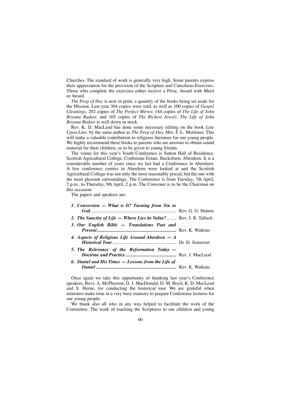Churches. The standard of work is generally very high. Some parents express their appreciation for the provision of the Scripture and Catechism Exercises. Those who complete the exercises either receive a Prize, Award with Merit or Award.

*The Peep of Day* is now in print, a quantity of the books being set aside for the Mission. Last year 364 copies were sold, as well as 100 copies of *Gospel Gleanings,* 202 copies of *The Perfect Mirror,* 144 copies of *The Life of John Boyana Radasi,* and 105 copies of *The Richest Jewels. The Life of John Boyana Radasi* is well down in stock.

Rev. K. D. MacLeod has done some necessary editing on the book *Line Upon Line,* by the same author as *The Peep of Day,* Mrs. F. L. Mortimer. This will make a valuable contribution to religious literature for our young people. We highly recommend these books to parents who are anxious to obtain sound material for their children, or to be given to young friends.

The venue for this year's Youth Conference is Sutton Hall of Residence, Scottish Agricultural College, Craibstone Estate, Bucksburn, Aberdeen. It is a considerable number of years since we last had a Conference in Aberdeen. A few conference centres in Aberdeen were looked at and the Scottish Agricultural College was not only the most reasonably priced, but the one with the most pleasant surroundings. The Conference is from Tuesday, 7th April, 2 p.m., to Thursday, 9th April, 2 p.m. The Convener is to be the Chairman on this occasion.

The papers and speakers are:

| 1. Conversion – What is It? Turning from Sin to                     |  |
|---------------------------------------------------------------------|--|
|                                                                     |  |
| 2. The Sanctity of Life – Where Lies its Value?  Rev. J. R. Tallach |  |
| 3. Our English Bible - Translations Past and                        |  |
| 4. Aspects of Religious Life Around Aberdeen $-A$                   |  |
| 5. The Relevance of the Reformation Today –                         |  |
| 6. Daniel and His Times – Lessons from the Life of                  |  |

Once again we take this opportunity of thanking last year's Conference speakers, Revs. A. McPherson, D. J. MacDonald, D. M. Boyd, K. D. MacLeod and S. Horne, for conducting the historical tour. We are grateful when ministers make time in a very busy ministry to prepare Conference lectures for our young people.

We thank also all who in any way helped to facilitate the work of the Committee. The work of teaching the Scriptures to our children and young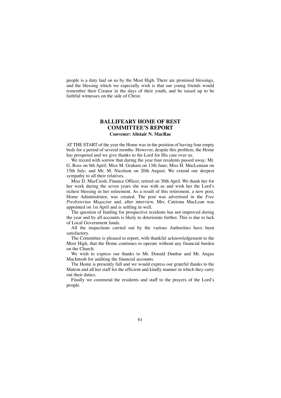people is a duty laid on us by the Most High. There are promised blessings, and the blessing which we especially wish is that our young friends would remember their Creator in the days of their youth, and be raised up to be faithful witnesses on the side of Christ.

### **BALLIFEARY HOME OF REST COMMITTEE'S REPORT Convener: Alistair N. MacRae**

AT THE START of the year the Home was in the position of having four empty beds for a period of several months. However, despite this problem, the Home has prospered and we give thanks to the Lord for His care over us.

We record with sorrow that during the year four residents passed away: Mr. G. Ross on 6th April; Miss M. Graham on 13th June; Miss H. MacLennan on 15th July; and Mr. M. Nicolson on 20th August. We extend our deepest sympathy to all their relatives.

Miss D. MacCuish, Finance Officer, retired on 30th April. We thank her for her work during the seven years she was with us and wish her the Lord's richest blessing in her retirement. As a result of this retirement, a new post, Home Administrator, was created. The post was advertised in the *Free Presbyterian Magazine* and, after interview, Mrs. Catriona MacLean was appointed on 1st April and is settling in well.

The question of funding for prospective residents has not improved during the year and by all accounts is likely to deteriorate further. This is due to lack of Local Government funds.

All the inspections carried out by the various Authorities have been satisfactory.

The Committee is pleased to report, with thankful acknowledgement to the Most High, that the Home continues to operate without any financial burden on the Church.

We wish to express our thanks to Mr. Donald Dunbar and Mr. Angus MacIntosh for auditing the financial accounts.

The Home is presently full and we would express our grateful thanks to the Matron and all her staff for the efficient and kindly manner in which they carry out their duties.

Finally we commend the residents and staff to the prayers of the Lord's people.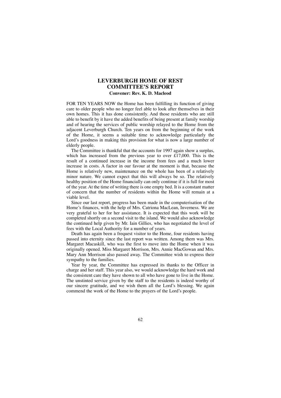### **LEVERBURGH HOME OF REST COMMITTEE'S REPORT Convener: Rev. K. D. Macleod**

FOR TEN YEARS NOW the Home has been fulfilling its function of giving care to older people who no longer feel able to look after themselves in their own homes. This it has done consistently. And those residents who are still able to benefit by it have the added benefits of being present at family worship and of hearing the services of public worship relayed to the Home from the adjacent Leverburgh Church. Ten years on from the beginning of the work of the Home, it seems a suitable time to acknowledge particularly the Lord's goodness in making this provision for what is now a large number of elderly people.

The Committee is thankful that the accounts for 1997 again show a surplus, which has increased from the previous year to over  $£17,000$ . This is the result of a continued increase in the income from fees and a much lower increase in costs. A factor in our favour at the moment is that, because the Home is relatively new, maintenance on the whole has been of a relatively minor nature. We cannot expect that this will always be so. The relatively healthy position of the Home financially can only continue if it is full for most of the year. At the time of writing there is one empty bed. It is a constant matter of concern that the number of residents within the Home will remain at a viable level.

Since our last report, progress has been made in the computerisation of the Home's finances, with the help of Mrs. Catriona MacLean, Inverness. We are very grateful to her for her assistance. It is expected that this work will be completed shortly on a second visit to the island. We would also acknowledge the continued help given by Mr. Iain Gillies, who has negotiated the level of fees with the Local Authority for a number of years.

Death has again been a frequest visitor to the Home, four residents having passed into eternity since the last report was written. Among them was Mrs. Margaret Macaskill, who was the first to move into the Home when it was originally opened. Miss Margaret Morrison, Mrs. Annie MacGowan and Mrs. Mary Ann Morrison also passed away. The Committee wish to express their sympathy to the families.

Year by year, the Committee has expressed its thanks to the Officer in charge and her staff. This year also, we would acknowledge the hard work and the consistent care they have shown to all who have gone to live in the Home. The unstinted service given by the staff to the residents is indeed worthy of our sincere gratitude, and we wish them all the Lord's blessing. We again commend the work of the Home to the prayers of the Lord's people.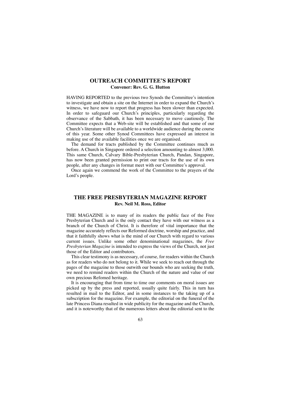### **OUTREACH COMMITTEE'S REPORT Convener: Rev. G. G. Hutton**

HAVING REPORTED to the previous two Synods the Committee's intention to investigate and obtain a site on the Internet in order to expand the Church's witness, we have now to report that progress has been slower than expected. In order to safeguard our Church's principles, particularly regarding the observance of the Sabbath, it has been necessary to move cautiously. The Committee expects that a Web-site will be established and that some of our Church's literature will be available to a worldwide audience during the course of this year. Some other Synod Committees have expressed an interest in making use of the available facilities once we are organised.

The demand for tracts published by the Committee continues much as before. A Church in Singapore ordered a selection amounting to almost 3,000. This same Church, Calvary Bible-Presbyterian Church, Pandan, Singapore, has now been granted permission to print our tracts for the use of its own people, after any changes in format meet with our Committee's approval.

Once again we commend the work of the Committee to the prayers of the Lord's people.

### **THE FREE PRESBYTERIAN MAGAZINE REPORT Rev. Neil M. Ross, Editor**

THE MAGAZINE is to many of its readers the public face of the Free Presbyterian Church and is the only contact they have with our witness as a branch of the Church of Christ. It is therefore of vital importance that the magazine accurately reflects our Reformed doctrine, worship and practice, and that it faithfully shows what is the mind of our Church with regard to various current issues. Unlike some other denominational magazines, the *Free Presbyterian Magazine* is intended to express the views of the Church, not just those of the Editor and contributors.

This clear testimony is as necessary, of course, for readers within the Church as for readers who do not belong to it. While we seek to reach out through the pages of the magazine to those outwith our bounds who are seeking the truth, we need to remind readers within the Church of the nature and value of our own precious Refomed heritage.

It is encouraging that from time to time our comments on moral issues are picked up by the press and reported, usually quite fairly. This in turn has resulted in mail to the Editor, and in some instances to the taking up of a subscription for the magazine. For example, the editorial on the funeral of the late Princess Diana resulted in wide publicity for the magazine and the Church, and it is noteworthy that of the numerous letters about the editorial sent to the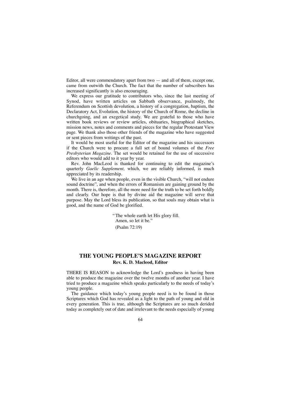Editor, all were commendatory apart from two — and all of them, except one, came from outwith the Church. The fact that the number of subscribers has increased significantly is also encouraging.

We express our gratitude to contributors who, since the last meeting of Synod, have written articles on Sabbath observance, psalmody, the Referendum on Scottish devolution, a history of a congregation, baptism, the Declaratory Act, Evolution, the history of the Church of Rome, the decline in churchgoing, and an exegetical study. We are grateful to those who have written book reviews or review articles, obituaries, biographical sketches, mission news, notes and comments and pieces for the regular Protestant View page. We thank also those other friends of the magazine who have suggested or sent pieces from writings of the past.

It would be most useful for the Editor of the magazine and his successors if the Church were to procure a full set of bound volumes of the *Free Presbyterian Magazine.* The set would be retained for the use of successive editors who would add to it year by year.

Rev. John MacLeod is thanked for continuing to edit the magazine's quarterly *Gaelic Supplement,* which, we are reliably informed, is much appreciated by its readership.

We live in an age when people, even in the visible Church, "will not endure sound doctrine", and when the errors of Romanism are gaining ground by the month. There is, therefore, all the more need for the truth to be set forth boldly and clearly. Our hope is that by divine aid the magazine will serve that purpose. May the Lord bless its publication, so that souls may obtain what is good, and the name of God be glorified.

> "The whole earth let His glory fill. Amen, so let it be." (Psalm 72:19)

### **THE YOUNG PEOPLE'S MAGAZINE REPORT Rev. K. D. Macleod, Editor**

THERE IS REASON to acknowledge the Lord's goodness in having been able to produce the magazine over the twelve months of another year. I have tried to produce a magazine which speaks particularly to the needs of today's young people.

The guidance which today's young people need is to be found in those Scriptures which God has revealed as a light to the path of young and old in every generation. This is true, although the Scriptures are so much derided today as completely out of date and irrelevant to the needs especially of young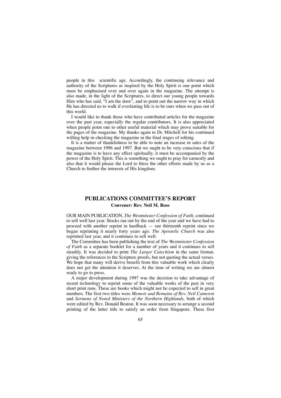people in this scientific age. Accordingly, the continuing relevance and authority of the Scriptures as inspired by the Holy Spirit is one point which must be emphasised over and over again in the magazine. The attempt is also made, in the light of the Scriptures, to direct our young people towards Him who has said, "I am the door", and to point out the narrow way in which He has directed us to walk if everlasting life is to be ours when we pass out of this world.

I would like to thank those who have contributed articles for the magazine over the past year, especially the regular contributors. It is also appreciated when people point one to other useful material which may prove suitable for the pages of the magazine. My thanks again to Dr. Mitchell for his continued willing help in checking the magazine in the final stages of editing.

It is a matter of thankfulness to be able to note an increase in sales of the magazine between 1996 and 1997. But we ought to be very conscious that if the magazine is to have any effect spiritually, it must be accompanied by the power of the Holy Spirit. This is something we ought to pray for earnestly and also that it would please the Lord to bless the other efforts made by us as a Church to further the interests of His kingdom.

### **PUBLICATIONS COMMITTEE'S REPORT Convener: Rev. Neil M. Ross**

OUR MAIN PUBLICATION, *The Westminster Confession of Faith,* continued to sell well last year. Stocks ran out by the end of the year and we have had to proceed with another reprint in hardback — our thirteenth reprint since we began reprinting it nearly forty years ago. *The Apostolic Church* was also reprinted last year, and it continues to sell well.

The Committee has been publishing the text of *The Westminster Confession of Faith* as a separate booklet for a number of years and it continues to sell steadily. It was decided to print *The Larger Catechism* in the same format, giving the references to the Scripture proofs, but not quoting the actual verses. We hope that many will derive benefit from this valuable work which clearly does not get the attention it deserves. At the time of writing we are almost ready to go to press.

A major development during 1997 was the decision to take advantage of recent technology to reprint some of the valuable works of the past in very short print runs. These are books which might not be expected to sell in great numbers. The first two titles were *Memoir and Remains of Rev. Neil Cameron* and *Sermons of Noted Ministers of the Northern Highlands,* both of which were edited by Rev. Donald Beaton. It was soon necessary to arrange a second printing of the latter title to satisfy an order from Singapore. These first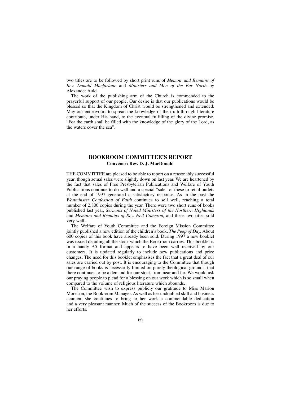two titles are to be followed by short print runs of *Memoir and Remains of Rev. Donald Macfarlane* and *Ministers and Men of the Far North* by Alexander Auld.

The work of the publishing arm of the Church is commended to the prayerful support of our people. Our desire is that our publications would be blessed so that the Kingdom of Christ would be strengthened and extended. May our endeavours to spread the knowledge of the truth through literature contribute, under His hand, to the eventual fulfilling of the divine promise, "For the earth shall be filled with the knowledge of the glory of the Lord, as the waters cover the sea".

### **BOOKROOM COMMITTEE'S REPORT Convener: Rev. D. J. MacDonald**

THE COMMITTEE are pleased to be able to report on a reasonably successful year, though actual sales were slightly down on last year. We are heartened by the fact that sales of Free Presbyterian Publications and Welfare of Youth Publications continue to do well and a special "sale" of these to retail outlets at the end of 1997 generated a satisfactory response. As in the past the *Westminster Confession of Faith* continues to sell well, reaching a total number of 2,800 copies during the year. There were two short runs of books published last year, *Sermons of Noted Ministers of the Northern Highlands* and *Memoirs and Remains of Rev. Neil Cameron,* and these two titles sold very well.

The Welfare of Youth Committee and the Foreign Mission Committee jointly published a new edition of the children's book, *The Peep of Day.* About 600 copies of this book have already been sold. During 1997 a new booklet was issued detailing all the stock which the Bookroom carries. This booklet is in a handy A5 format and appears to have been well received by our customers. It is updated regularly to include new publications and price changes. The need for this booklet emphasises the fact that a great deal of our sales are carried out by post. It is encouraging to the Committee that though our range of books is necessarily limited on purely theological grounds, that there continues to be a demand for our stock from near and far. We would ask our praying people to plead for a blessing on our work which is so small when compared to the volume of religious literature which abounds.

The Committee wish to express publicly our gratitude to Miss Marion Morrison, the Bookroom Manager. As well as her undoubted skill and business acumen, she continues to bring to her work a commendable dedication and a very pleasant manner. Much of the success of the Bookroom is due to her efforts.